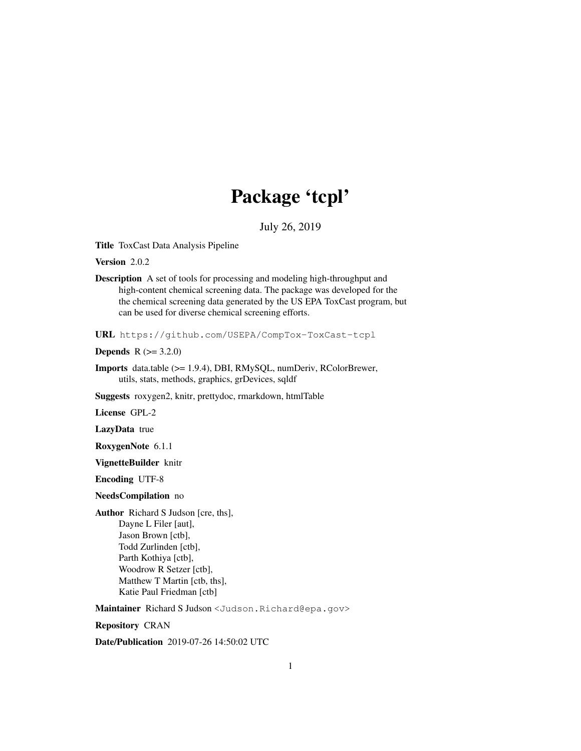# Package 'tcpl'

July 26, 2019

Title ToxCast Data Analysis Pipeline

Version 2.0.2

Description A set of tools for processing and modeling high-throughput and high-content chemical screening data. The package was developed for the the chemical screening data generated by the US EPA ToxCast program, but can be used for diverse chemical screening efforts.

URL https://github.com/USEPA/CompTox-ToxCast-tcpl

**Depends**  $R (= 3.2.0)$ 

Imports data.table (>= 1.9.4), DBI, RMySQL, numDeriv, RColorBrewer, utils, stats, methods, graphics, grDevices, sqldf

Suggests roxygen2, knitr, prettydoc, rmarkdown, htmlTable

License GPL-2

LazyData true

RoxygenNote 6.1.1

VignetteBuilder knitr

Encoding UTF-8

NeedsCompilation no

Author Richard S Judson [cre, ths], Dayne L Filer [aut], Jason Brown [ctb], Todd Zurlinden [ctb], Parth Kothiya [ctb], Woodrow R Setzer [ctb], Matthew T Martin [ctb, ths], Katie Paul Friedman [ctb]

Maintainer Richard S Judson <Judson.Richard@epa.gov>

Repository CRAN

Date/Publication 2019-07-26 14:50:02 UTC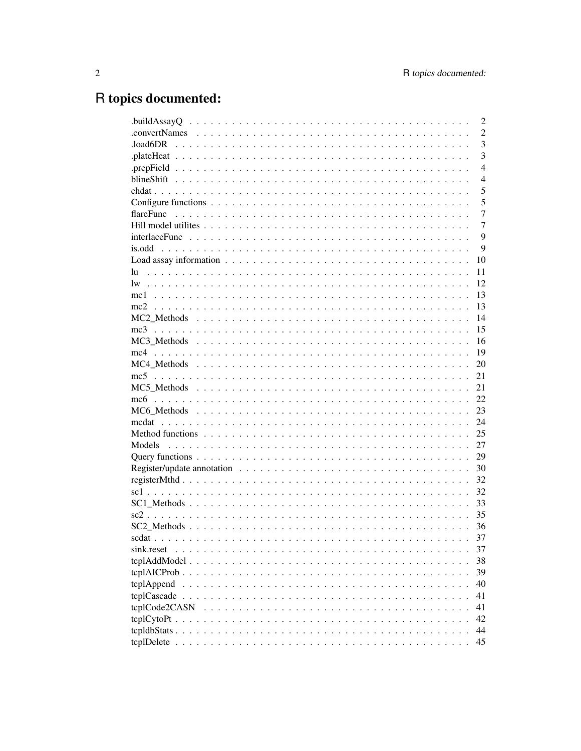# R topics documented: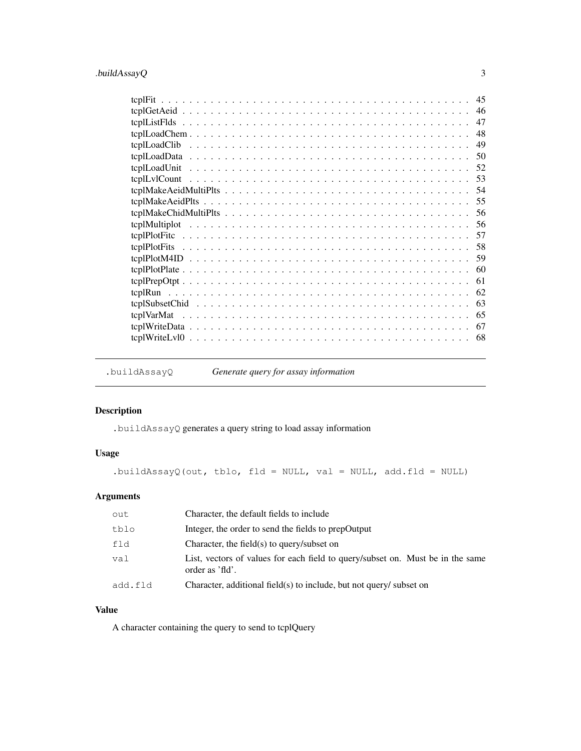## .buildAssayQ 3

| 46  |
|-----|
| 47  |
| 48  |
| 49  |
|     |
|     |
|     |
|     |
|     |
|     |
|     |
|     |
|     |
|     |
|     |
| 61  |
| 62  |
| 63  |
|     |
| 67  |
| -68 |

.buildAssayQ *Generate query for assay information*

### Description

.buildAssayQ generates a query string to load assay information

## Usage

.buildAssayQ(out, tblo, fld = NULL, val = NULL, add.fld = NULL)

## Arguments

| out     | Character, the default fields to include                                                          |
|---------|---------------------------------------------------------------------------------------------------|
| tblo    | Integer, the order to send the fields to prepOutput                                               |
| fld     | Character, the field(s) to query/subset on                                                        |
| val     | List, vectors of values for each field to query/subset on. Must be in the same<br>order as 'fld'. |
| add.fld | Character, additional field(s) to include, but not query/ subset on                               |

## Value

A character containing the query to send to tcplQuery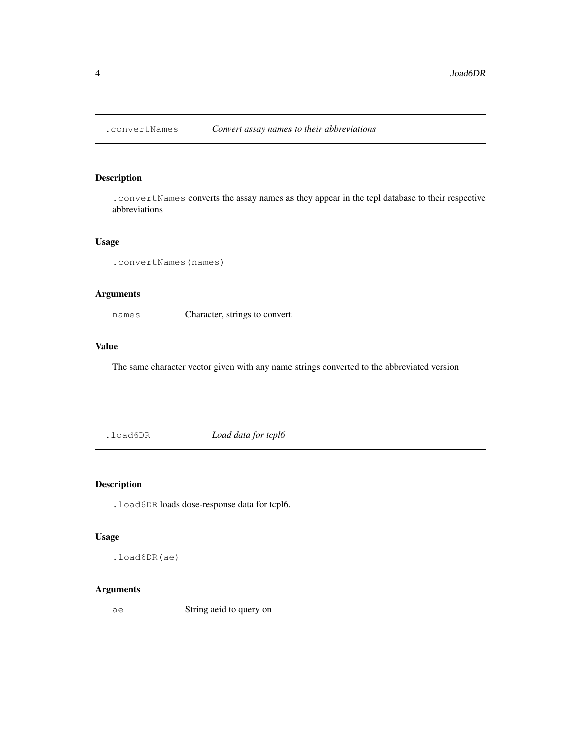### Description

.convertNames converts the assay names as they appear in the tcpl database to their respective abbreviations

### Usage

```
.convertNames(names)
```
### Arguments

names Character, strings to convert

### Value

The same character vector given with any name strings converted to the abbreviated version

.load6DR *Load data for tcpl6*

### Description

.load6DR loads dose-response data for tcpl6.

### Usage

.load6DR(ae)

## Arguments

ae String aeid to query on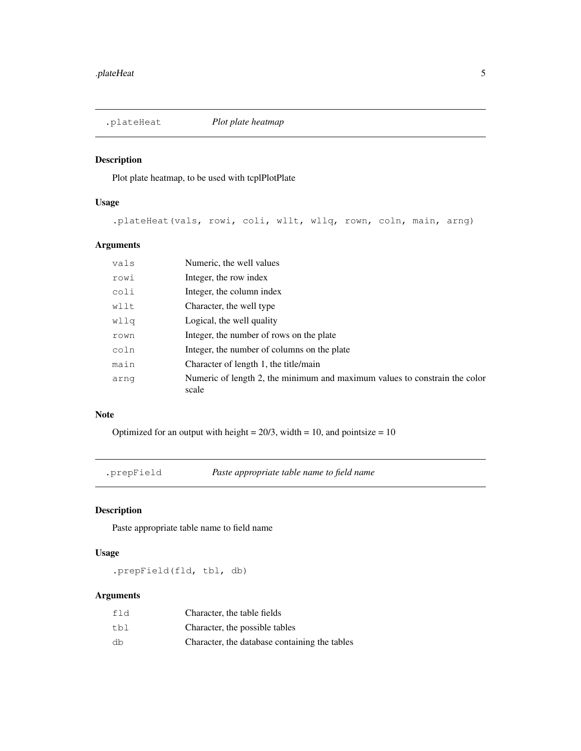### Description

Plot plate heatmap, to be used with tcplPlotPlate

### Usage

.plateHeat(vals, rowi, coli, wllt, wllq, rown, coln, main, arng)

## Arguments

| vals | Numeric, the well values                                                            |
|------|-------------------------------------------------------------------------------------|
| rowi | Integer, the row index                                                              |
| coli | Integer, the column index                                                           |
| wllt | Character, the well type                                                            |
| wllq | Logical, the well quality                                                           |
| rown | Integer, the number of rows on the plate                                            |
| coln | Integer, the number of columns on the plate                                         |
| main | Character of length 1, the title/main                                               |
| arnq | Numeric of length 2, the minimum and maximum values to constrain the color<br>scale |

### Note

Optimized for an output with height =  $20/3$ , width = 10, and pointsize = 10

.prepField *Paste appropriate table name to field name*

### Description

Paste appropriate table name to field name

### Usage

.prepField(fld, tbl, db)

| fld | Character, the table fields                   |
|-----|-----------------------------------------------|
| tbl | Character, the possible tables                |
| db  | Character, the database containing the tables |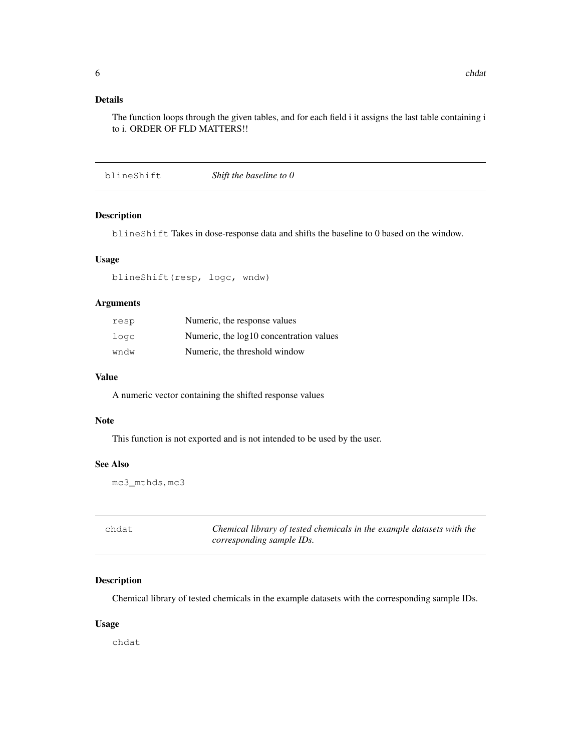## Details

The function loops through the given tables, and for each field i it assigns the last table containing i to i. ORDER OF FLD MATTERS!!

blineShift *Shift the baseline to 0*

### Description

blineShift Takes in dose-response data and shifts the baseline to 0 based on the window.

#### Usage

blineShift(resp, logc, wndw)

### Arguments

| resp | Numeric, the response values            |
|------|-----------------------------------------|
| logc | Numeric, the log10 concentration values |
| wndw | Numeric, the threshold window           |

#### Value

A numeric vector containing the shifted response values

### Note

This function is not exported and is not intended to be used by the user.

### See Also

mc3\_mthds, mc3

| chdat | Chemical library of tested chemicals in the example datasets with the |
|-------|-----------------------------------------------------------------------|
|       | corresponding sample IDs.                                             |

### Description

Chemical library of tested chemicals in the example datasets with the corresponding sample IDs.

#### Usage

chdat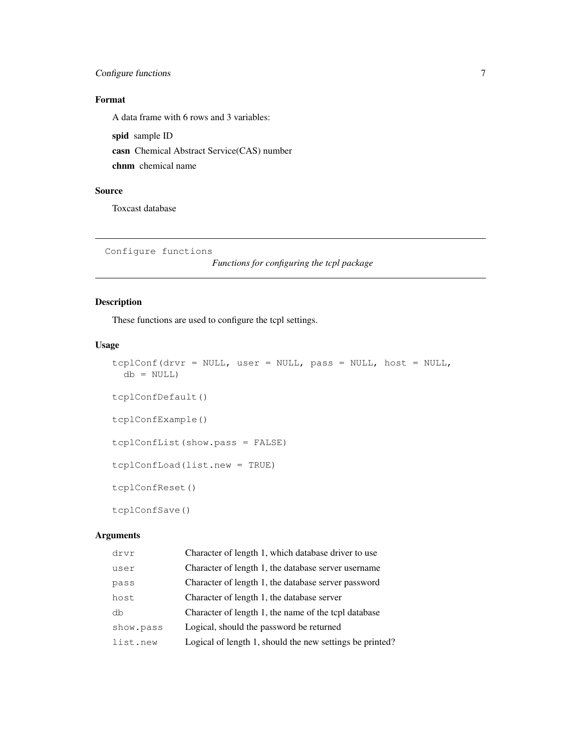## Configure functions 7

### Format

A data frame with 6 rows and 3 variables:

spid sample ID casn Chemical Abstract Service(CAS) number chnm chemical name

### Source

Toxcast database

```
Configure functions
```
*Functions for configuring the tcpl package*

### Description

These functions are used to configure the tcpl settings.

### Usage

```
tcplConf(drvr = NULL, user = NULL, pass = NULL, host = NULL,
 db = NULL)tcplConfDefault()
tcplConfExample()
tcplConfList(show.pass = FALSE)
tcplConfLoad(list.new = TRUE)
tcplConfReset()
tcplConfSave()
```

| drvr      | Character of length 1, which database driver to use      |
|-----------|----------------------------------------------------------|
| user      | Character of length 1, the database server username      |
| pass      | Character of length 1, the database server password      |
| host      | Character of length 1, the database server               |
| dh        | Character of length 1, the name of the tcpl database     |
| show.pass | Logical, should the password be returned                 |
| list.new  | Logical of length 1, should the new settings be printed? |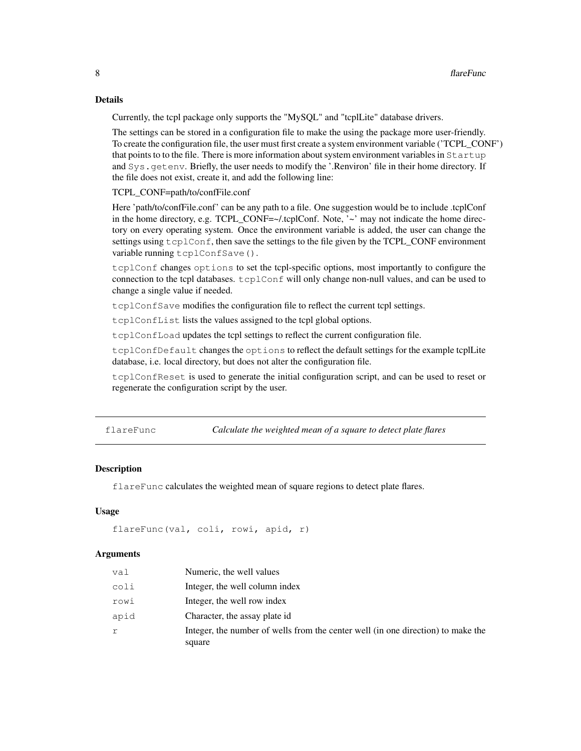### Details

Currently, the tcpl package only supports the "MySQL" and "tcplLite" database drivers.

The settings can be stored in a configuration file to make the using the package more user-friendly. To create the configuration file, the user must first create a system environment variable ('TCPL\_CONF') that points to to the file. There is more information about system environment variables in Startup and Sys.getenv. Briefly, the user needs to modify the '.Renviron' file in their home directory. If the file does not exist, create it, and add the following line:

#### TCPL\_CONF=path/to/confFile.conf

Here 'path/to/confFile.conf' can be any path to a file. One suggestion would be to include .tcplConf in the home directory, e.g. TCPL\_CONF=~/.tcplConf. Note, '~' may not indicate the home directory on every operating system. Once the environment variable is added, the user can change the settings using  $t$ cpl $C$ on  $f$ , then save the settings to the file given by the TCPL\_CONF environment variable running tcplConfSave().

tcplConf changes options to set the tcpl-specific options, most importantly to configure the connection to the tcpl databases. tcplConf will only change non-null values, and can be used to change a single value if needed.

tcplConfSave modifies the configuration file to reflect the current tcpl settings.

tcplConfList lists the values assigned to the tcpl global options.

tcplConfLoad updates the tcpl settings to reflect the current configuration file.

tcplConfDefault changes the options to reflect the default settings for the example tcplLite database, i.e. local directory, but does not alter the configuration file.

tcplConfReset is used to generate the initial configuration script, and can be used to reset or regenerate the configuration script by the user.

flareFunc *Calculate the weighted mean of a square to detect plate flares*

### **Description**

flareFunc calculates the weighted mean of square regions to detect plate flares.

### Usage

```
flareFunc(val, coli, rowi, apid, r)
```

| val  | Numeric, the well values                                                         |
|------|----------------------------------------------------------------------------------|
| coli | Integer, the well column index                                                   |
| rowi | Integer, the well row index                                                      |
| apid | Character, the assay plate id.                                                   |
|      | Integer, the number of wells from the center well (in one direction) to make the |
|      | square                                                                           |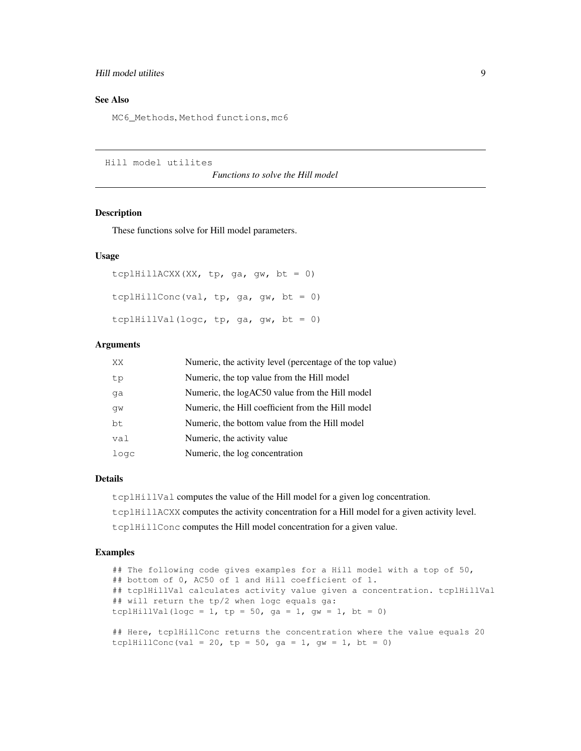### Hill model utilites 9

### See Also

MC6 Methods, Method functions, mc6

Hill model utilites

*Functions to solve the Hill model*

### Description

These functions solve for Hill model parameters.

### Usage

```
tcplHillACXX(XX, tp, ga, gw, bt = 0)
tcplHillConc(val, tp, ga, gw, bt = 0)
tcplHillVal(logc, tp, ga, gw, bt = 0)
```
### Arguments

| XX   | Numeric, the activity level (percentage of the top value) |
|------|-----------------------------------------------------------|
| tp   | Numeric, the top value from the Hill model                |
| qa   | Numeric, the logAC50 value from the Hill model            |
| qw   | Numeric, the Hill coefficient from the Hill model         |
| bt   | Numeric, the bottom value from the Hill model             |
| val  | Numeric, the activity value                               |
| logc | Numeric, the log concentration                            |

tcplHillConc(val = 20, tp = 50, ga = 1, gw = 1, bt = 0)

### Details

tcplHillVal computes the value of the Hill model for a given log concentration. tcplHillACXX computes the activity concentration for a Hill model for a given activity level. tcplHillConc computes the Hill model concentration for a given value.

### Examples

```
## The following code gives examples for a Hill model with a top of 50,
## bottom of 0, AC50 of 1 and Hill coefficient of 1.
## tcplHillVal calculates activity value given a concentration. tcplHillVal
## will return the tp/2 when logc equals ga:
tcplHillVal(logc = 1, tp = 50, ga = 1, gw = 1, bt = 0)
## Here, tcplHillConc returns the concentration where the value equals 20
```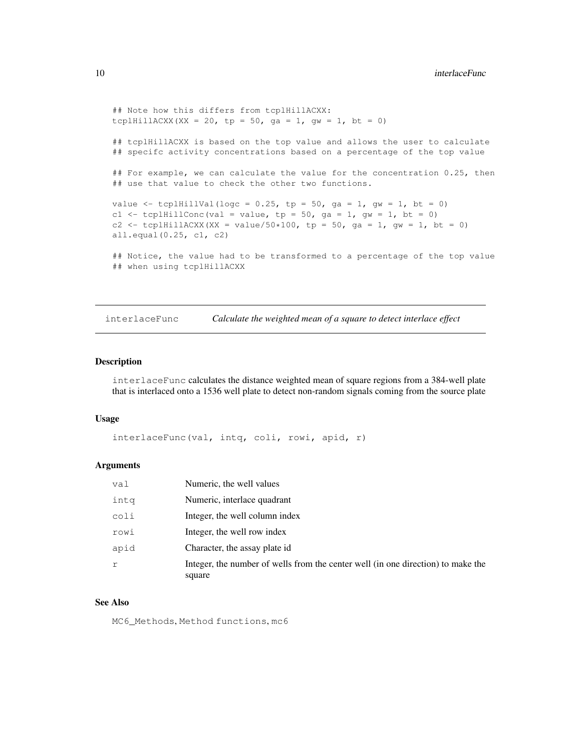```
## Note how this differs from tcplHillACXX:
tcplHillACXX(XX = 20, tp = 50, ga = 1, gw = 1, bt = 0)
## tcplHillACXX is based on the top value and allows the user to calculate
## specifc activity concentrations based on a percentage of the top value
## For example, we can calculate the value for the concentration 0.25, then
## use that value to check the other two functions.
value \le tcplHillVal(logc = 0.25, tp = 50, ga = 1, gw = 1, bt = 0)
c1 <- tcplHillConc(val = value, tp = 50, ga = 1, gw = 1, bt = 0)
c2 <- tcplHillACXX(XX = value/50*100, tp = 50, ga = 1, gw = 1, bt = 0)
all.equal(0.25, c1, c2)
## Notice, the value had to be transformed to a percentage of the top value
## when using tcplHillACXX
```
interlaceFunc *Calculate the weighted mean of a square to detect interlace effect*

#### Description

interlaceFunc calculates the distance weighted mean of square regions from a 384-well plate that is interlaced onto a 1536 well plate to detect non-random signals coming from the source plate

#### Usage

```
interlaceFunc(val, intq, coli, rowi, apid, r)
```
#### Arguments

| val  | Numeric, the well values                                                                   |
|------|--------------------------------------------------------------------------------------------|
| inta | Numeric, interlace quadrant                                                                |
| coli | Integer, the well column index                                                             |
| rowi | Integer, the well row index                                                                |
| apid | Character, the assay plate id                                                              |
| r    | Integer, the number of wells from the center well (in one direction) to make the<br>square |

#### See Also

MC6\_Methods, Method functions, mc6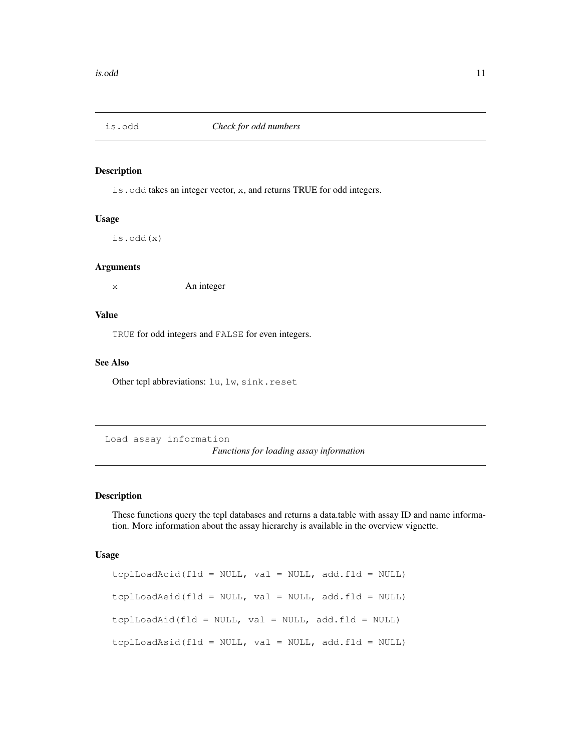### Description

is.odd takes an integer vector, x, and returns TRUE for odd integers.

### Usage

is.odd(x)

#### Arguments

x An integer

#### Value

TRUE for odd integers and FALSE for even integers.

#### See Also

Other tcpl abbreviations: lu, lw, sink.reset

Load assay information *Functions for loading assay information*

### Description

These functions query the tcpl databases and returns a data.table with assay ID and name information. More information about the assay hierarchy is available in the overview vignette.

#### Usage

```
tcplLoadAcid(fld = NULL, val = NULL, add.fld = NULL)
tcplLoadAeid(fld = NULL, val = NULL, add.fld = NULL)
tcplLoadAid(fld = NULL, val = NULL, add.fld = NULL)
tcplLoadAsid(fld = NULL, val = NULL, add.fld = NULL)
```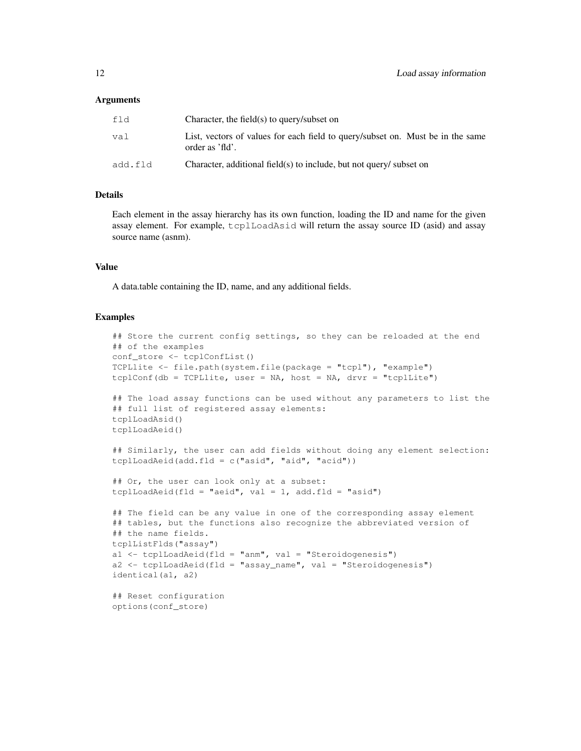#### Arguments

| fld     | Character, the field(s) to query/subset on                                                        |
|---------|---------------------------------------------------------------------------------------------------|
| val     | List, vectors of values for each field to query/subset on. Must be in the same<br>order as 'fld'. |
| add.fld | Character, additional field(s) to include, but not query/ subset on                               |

#### Details

Each element in the assay hierarchy has its own function, loading the ID and name for the given assay element. For example, tcplLoadAsid will return the assay source ID (asid) and assay source name (asnm).

### Value

A data.table containing the ID, name, and any additional fields.

#### Examples

```
## Store the current config settings, so they can be reloaded at the end
## of the examples
conf_store <- tcplConfList()
TCPLlite <- file.path(system.file(package = "tcpl"), "example")
tcplConf(db = TCPLlite, user = NA, host = NA, drvr = "tcplLite")
## The load assay functions can be used without any parameters to list the
## full list of registered assay elements:
tcplLoadAsid()
tcplLoadAeid()
## Similarly, the user can add fields without doing any element selection:
tcplLoadAeid(add.fld = c("asid", "aid", "acid"))
## Or, the user can look only at a subset:
tcplLoadAeid(fld = "aeid", val = 1, add.fld = "asid")
## The field can be any value in one of the corresponding assay element
## tables, but the functions also recognize the abbreviated version of
## the name fields.
tcplListFlds("assay")
a1 <- tcplLoadAeid(fld = "anm", val = "Steroidogenesis")
a2 \leq tcplLoadAeid(fld = "assay_name", val = "Steroidogenesis")
identical(a1, a2)
## Reset configuration
options(conf_store)
```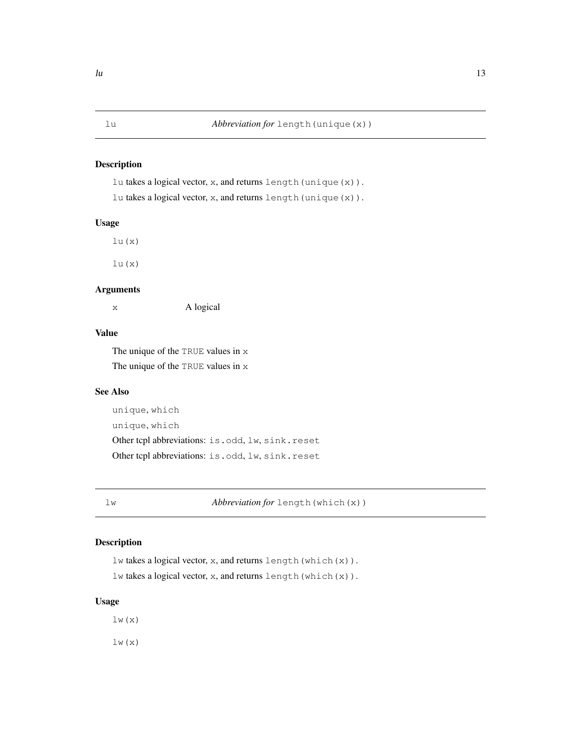### Description

lu takes a logical vector, x, and returns length(unique(x)).

lu takes a logical vector, x, and returns length(unique(x)).

### Usage

 $lu(x)$ 

lu(x)

### Arguments

x A logical

### Value

The unique of the TRUE values in x The unique of the TRUE values in x

### See Also

unique, which unique, which Other tcpl abbreviations: is.odd, lw, sink.reset Other tcpl abbreviations: is.odd, lw, sink.reset

lw *Abbreviation for* length(which(x))

### Description

lw takes a logical vector, x, and returns length(which(x)). lw takes a logical vector, x, and returns length(which(x)).

### Usage

 $lw(x)$ 

 $lw(x)$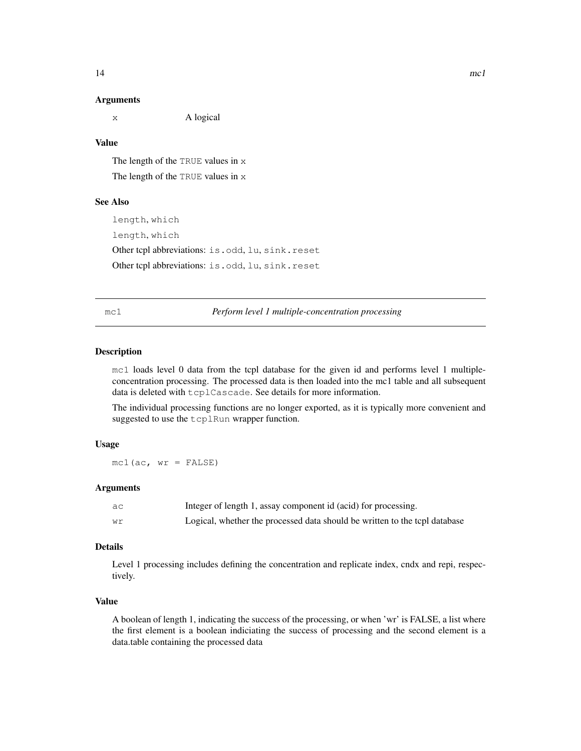#### Arguments

x A logical

### Value

The length of the TRUE values in x The length of the TRUE values in x

### See Also

length, which length, which Other tcpl abbreviations: is.odd, lu, sink.reset Other tcpl abbreviations: is.odd, lu, sink.reset

mc1 *Perform level 1 multiple-concentration processing*

### Description

mc1 loads level 0 data from the tcpl database for the given id and performs level 1 multipleconcentration processing. The processed data is then loaded into the mc1 table and all subsequent data is deleted with tcplCascade. See details for more information.

The individual processing functions are no longer exported, as it is typically more convenient and suggested to use the tcplRun wrapper function.

### Usage

 $mc1(ac, wr = FALSE)$ 

### Arguments

| aс | Integer of length 1, assay component id (acid) for processing.             |
|----|----------------------------------------------------------------------------|
| Wr | Logical, whether the processed data should be written to the tcpl database |

### Details

Level 1 processing includes defining the concentration and replicate index, cndx and repi, respectively.

### Value

A boolean of length 1, indicating the success of the processing, or when 'wr' is FALSE, a list where the first element is a boolean indiciating the success of processing and the second element is a data.table containing the processed data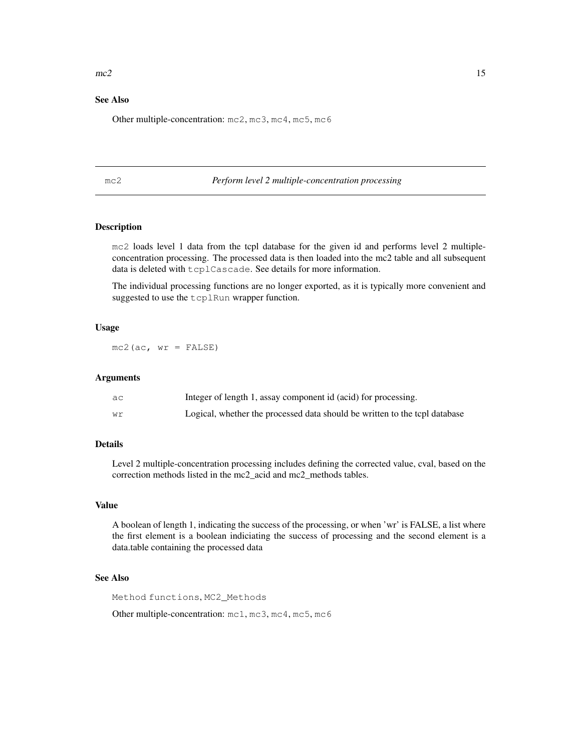#### $mc2$  15

### See Also

Other multiple-concentration: mc2, mc3, mc4, mc5, mc6

#### mc2 *Perform level 2 multiple-concentration processing*

### Description

mc2 loads level 1 data from the tcpl database for the given id and performs level 2 multipleconcentration processing. The processed data is then loaded into the mc2 table and all subsequent data is deleted with tcplCascade. See details for more information.

The individual processing functions are no longer exported, as it is typically more convenient and suggested to use the tcplRun wrapper function.

#### Usage

 $mc2$  (ac,  $wr$  = FALSE)

#### Arguments

| aс | Integer of length 1, assay component id (acid) for processing.             |
|----|----------------------------------------------------------------------------|
| wr | Logical, whether the processed data should be written to the tcpl database |

### Details

Level 2 multiple-concentration processing includes defining the corrected value, cval, based on the correction methods listed in the mc2\_acid and mc2\_methods tables.

### Value

A boolean of length 1, indicating the success of the processing, or when 'wr' is FALSE, a list where the first element is a boolean indiciating the success of processing and the second element is a data.table containing the processed data

### See Also

Method functions, MC2\_Methods

Other multiple-concentration: mc1, mc3, mc4, mc5, mc6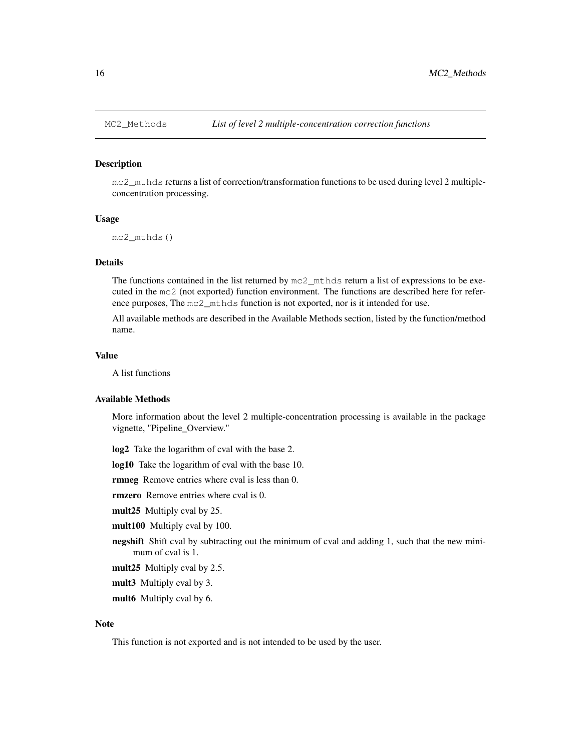#### **Description**

mc2\_mthds returns a list of correction/transformation functions to be used during level 2 multipleconcentration processing.

### Usage

```
mc2_mthds()
```
### Details

The functions contained in the list returned by mc2\_mthds return a list of expressions to be executed in the mc2 (not exported) function environment. The functions are described here for reference purposes, The mc2\_mthds function is not exported, nor is it intended for use.

All available methods are described in the Available Methods section, listed by the function/method name.

#### Value

A list functions

#### Available Methods

More information about the level 2 multiple-concentration processing is available in the package vignette, "Pipeline\_Overview."

log2 Take the logarithm of cval with the base 2.

log10 Take the logarithm of cval with the base 10.

rmneg Remove entries where cval is less than 0.

rmzero Remove entries where cval is 0.

mult25 Multiply cval by 25.

mult100 Multiply cval by 100.

**negshift** Shift cval by subtracting out the minimum of cval and adding 1, such that the new minimum of cval is 1.

mult25 Multiply cval by 2.5.

mult3 Multiply cval by 3.

mult6 Multiply cval by 6.

### Note

This function is not exported and is not intended to be used by the user.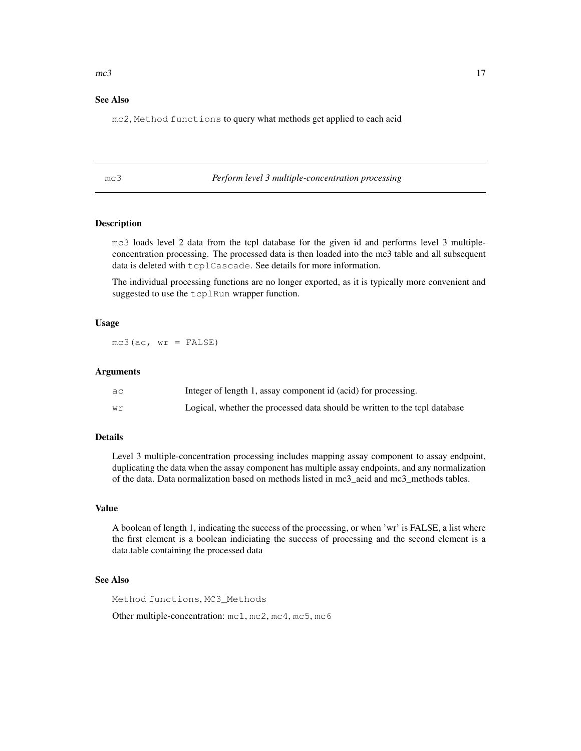#### $mc3$  17

### See Also

mc2, Method functions to query what methods get applied to each acid

mc3 *Perform level 3 multiple-concentration processing*

### Description

mc3 loads level 2 data from the tcpl database for the given id and performs level 3 multipleconcentration processing. The processed data is then loaded into the mc3 table and all subsequent data is deleted with tcplCascade. See details for more information.

The individual processing functions are no longer exported, as it is typically more convenient and suggested to use the tcplRun wrapper function.

### Usage

 $mc3(ac, wr = FALSE)$ 

#### Arguments

| aс | Integer of length 1, assay component id (acid) for processing.             |
|----|----------------------------------------------------------------------------|
| wr | Logical, whether the processed data should be written to the topl database |

### Details

Level 3 multiple-concentration processing includes mapping assay component to assay endpoint, duplicating the data when the assay component has multiple assay endpoints, and any normalization of the data. Data normalization based on methods listed in mc3\_aeid and mc3\_methods tables.

#### Value

A boolean of length 1, indicating the success of the processing, or when 'wr' is FALSE, a list where the first element is a boolean indiciating the success of processing and the second element is a data.table containing the processed data

### See Also

Method functions, MC3\_Methods

Other multiple-concentration: mc1, mc2, mc4, mc5, mc6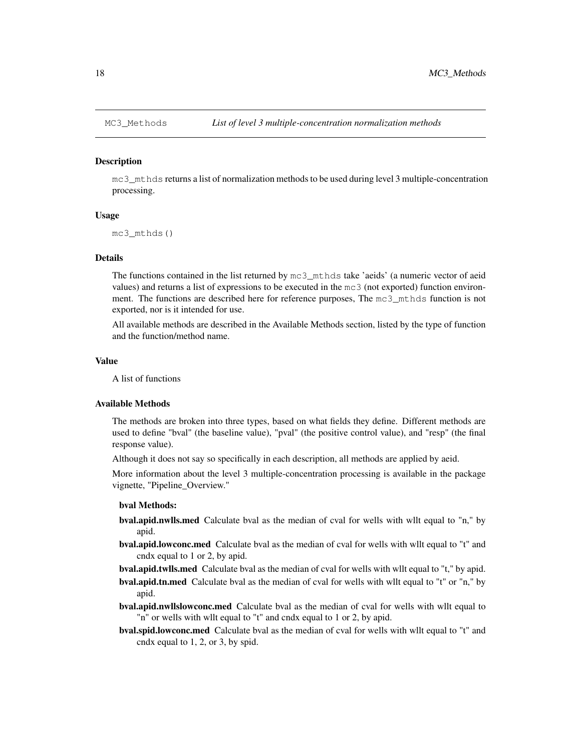#### Description

mc3\_mthds returns a list of normalization methods to be used during level 3 multiple-concentration processing.

#### Usage

mc3\_mthds()

#### Details

The functions contained in the list returned by  $mc3$  mthds take 'aeids' (a numeric vector of aeid values) and returns a list of expressions to be executed in the mc3 (not exported) function environment. The functions are described here for reference purposes, The mc3\_mthds function is not exported, nor is it intended for use.

All available methods are described in the Available Methods section, listed by the type of function and the function/method name.

### Value

A list of functions

#### Available Methods

The methods are broken into three types, based on what fields they define. Different methods are used to define "bval" (the baseline value), "pval" (the positive control value), and "resp" (the final response value).

Although it does not say so specifically in each description, all methods are applied by aeid.

More information about the level 3 multiple-concentration processing is available in the package vignette, "Pipeline\_Overview."

#### bval Methods:

- bval.apid.nwlls.med Calculate bval as the median of cval for wells with wllt equal to "n," by apid.
- bval.apid.lowconc.med Calculate bval as the median of cval for wells with wllt equal to "t" and cndx equal to 1 or 2, by apid.
- bval.apid.twlls.med Calculate bval as the median of cval for wells with wllt equal to "t," by apid.
- bval.apid.tn.med Calculate bval as the median of cval for wells with wllt equal to "t" or "n," by apid.
- bval.apid.nwllslowconc.med Calculate bval as the median of cval for wells with wllt equal to "n" or wells with wllt equal to "t" and cndx equal to 1 or 2, by apid.
- bval.spid.lowconc.med Calculate bval as the median of cval for wells with wllt equal to "t" and cndx equal to 1, 2, or 3, by spid.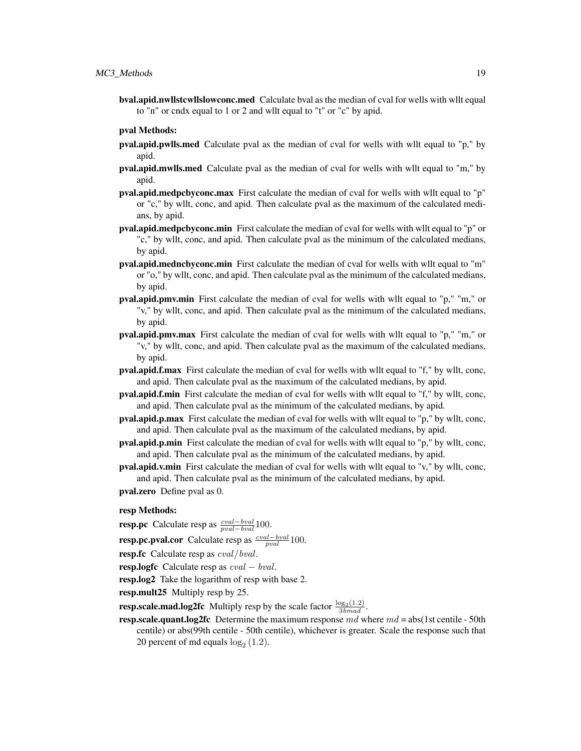bval.apid.nwllstcwllslowconc.med Calculate bval as the median of cval for wells with wllt equal to "n" or cndx equal to 1 or 2 and wllt equal to "t" or "c" by apid.

#### pval Methods:

- pval.apid.pwlls.med Calculate pval as the median of cval for wells with wllt equal to "p," by apid.
- pval.apid.mwlls.med Calculate pval as the median of cval for wells with wllt equal to "m," by apid.
- pval.apid.medpcbyconc.max First calculate the median of cval for wells with wllt equal to "p" or "c," by wllt, conc, and apid. Then calculate pval as the maximum of the calculated medians, by apid.
- pval.apid.medpcbyconc.min First calculate the median of cval for wells with wllt equal to "p" or "c," by wllt, conc, and apid. Then calculate pval as the minimum of the calculated medians, by apid.
- pval.apid.medncbyconc.min First calculate the median of cval for wells with wllt equal to "m" or "o," by wllt, conc, and apid. Then calculate pval as the minimum of the calculated medians, by apid.
- pval.apid.pmv.min First calculate the median of cval for wells with wllt equal to "p," "m," or "v," by wllt, conc, and apid. Then calculate pval as the minimum of the calculated medians, by apid.
- pval.apid.pmv.max First calculate the median of cval for wells with wllt equal to "p," "m," or "v," by wllt, conc, and apid. Then calculate pval as the maximum of the calculated medians, by apid.
- pval.apid.f.max First calculate the median of cval for wells with wllt equal to "f," by wllt, conc, and apid. Then calculate pval as the maximum of the calculated medians, by apid.
- pval.apid.f.min First calculate the median of cval for wells with wllt equal to "f," by wllt, conc, and apid. Then calculate pval as the minimum of the calculated medians, by apid.
- pval.apid.p.max First calculate the median of cval for wells with wllt equal to "p," by wllt, conc, and apid. Then calculate pval as the maximum of the calculated medians, by apid.
- pval.apid.p.min First calculate the median of cval for wells with wllt equal to "p," by wllt, conc, and apid. Then calculate pval as the minimum of the calculated medians, by apid.
- pval.apid.v.min First calculate the median of cval for wells with wllt equal to "v," by wllt, conc, and apid. Then calculate pval as the minimum of the calculated medians, by apid.
- pval.zero Define pval as 0.

#### resp Methods:

**resp.pc** Calculate resp as  $\frac{eval-bval}{pval-bval}100$ .

**resp.pc.pval.cor** Calculate resp as  $\frac{cval-bval}{pval}100$ .

- resp.fc Calculate resp as *cval/bval*.
- resp.logfc Calculate resp as  $cval bval$ .

resp.log2 Take the logarithm of resp with base 2.

resp.mult25 Multiply resp by 25.

**resp.scale.mad.log2fc** Multiply resp by the scale factor  $\frac{\log_2(1.2)}{3b \mod d}$ .

**resp.scale.quant.log2fc** Determine the maximum response  $md$  where  $md = abs(1st$  centile - 50th centile) or abs(99th centile - 50th centile), whichever is greater. Scale the response such that 20 percent of md equals  $log_2(1.2)$ .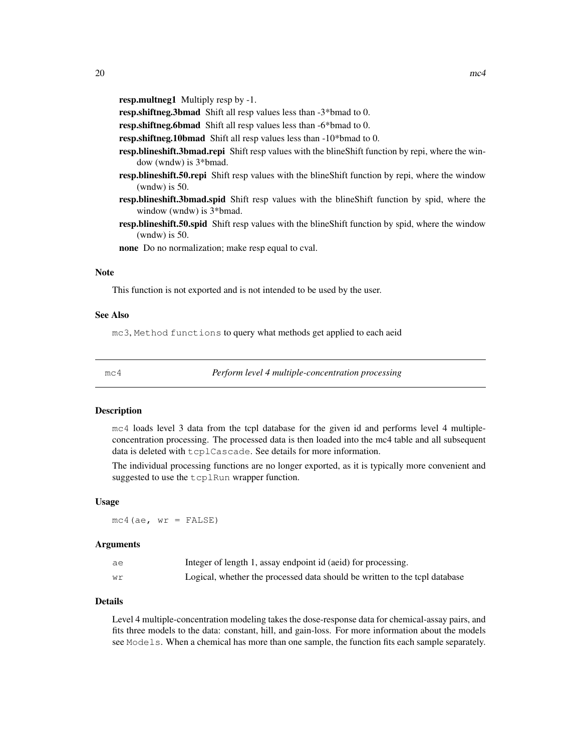resp.multneg1 Multiply resp by -1.

resp.shiftneg.3bmad Shift all resp values less than -3\*bmad to 0.

resp.shiftneg.6bmad Shift all resp values less than -6\*bmad to 0.

resp.shiftneg.10bmad Shift all resp values less than -10\*bmad to 0.

- resp.blineshift.3bmad.repi Shift resp values with the blineShift function by repi, where the window (wndw) is 3\*bmad.
- resp.blineshift.50.repi Shift resp values with the blineShift function by repi, where the window (wndw) is 50.
- resp.blineshift.3bmad.spid Shift resp values with the blineShift function by spid, where the window (wndw) is 3\*bmad.
- resp.blineshift.50.spid Shift resp values with the blineShift function by spid, where the window (wndw) is 50.

none Do no normalization; make resp equal to cval.

#### Note

This function is not exported and is not intended to be used by the user.

#### See Also

mc3, Method functions to query what methods get applied to each aeid

mc4 *Perform level 4 multiple-concentration processing*

#### **Description**

mc4 loads level 3 data from the tcpl database for the given id and performs level 4 multipleconcentration processing. The processed data is then loaded into the mc4 table and all subsequent data is deleted with tcplCascade. See details for more information.

The individual processing functions are no longer exported, as it is typically more convenient and suggested to use the tcplRun wrapper function.

#### Usage

 $mc4(ae, wr = FALSE)$ 

#### Arguments

| ae | Integer of length 1, assay endpoint id (aeid) for processing.              |
|----|----------------------------------------------------------------------------|
| wr | Logical, whether the processed data should be written to the tcpl database |

### Details

Level 4 multiple-concentration modeling takes the dose-response data for chemical-assay pairs, and fits three models to the data: constant, hill, and gain-loss. For more information about the models see Models. When a chemical has more than one sample, the function fits each sample separately.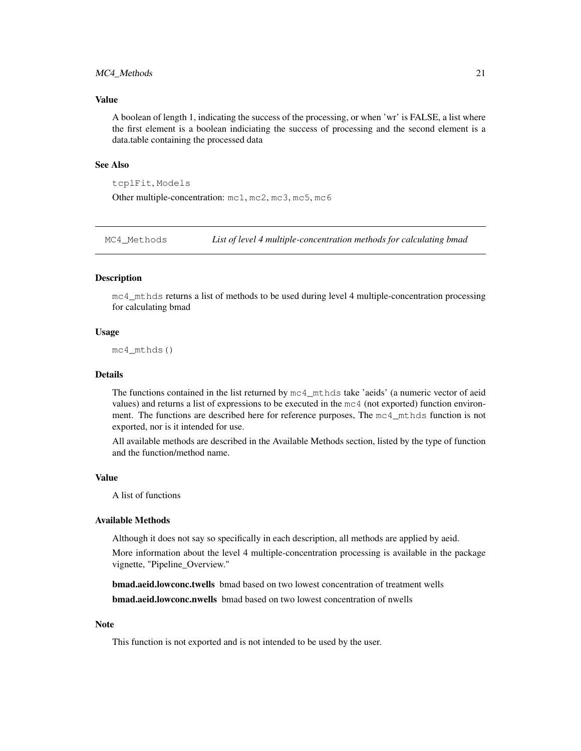#### MC4\_Methods 21

### Value

A boolean of length 1, indicating the success of the processing, or when 'wr' is FALSE, a list where the first element is a boolean indiciating the success of processing and the second element is a data.table containing the processed data

#### See Also

tcplFit, Models

Other multiple-concentration: mc1, mc2, mc3, mc5, mc6

MC4\_Methods *List of level 4 multiple-concentration methods for calculating bmad*

#### **Description**

mc4\_mthds returns a list of methods to be used during level 4 multiple-concentration processing for calculating bmad

#### Usage

mc4\_mthds()

#### Details

The functions contained in the list returned by  $mc4$  mthds take 'aeids' (a numeric vector of aeid values) and returns a list of expressions to be executed in the mc4 (not exported) function environment. The functions are described here for reference purposes, The mc4\_mthds function is not exported, nor is it intended for use.

All available methods are described in the Available Methods section, listed by the type of function and the function/method name.

#### Value

A list of functions

#### Available Methods

Although it does not say so specifically in each description, all methods are applied by aeid.

More information about the level 4 multiple-concentration processing is available in the package vignette, "Pipeline\_Overview."

**bmad.aeid.lowconc.twells** bmad based on two lowest concentration of treatment wells bmad.aeid.lowconc.nwells bmad based on two lowest concentration of nwells

#### Note

This function is not exported and is not intended to be used by the user.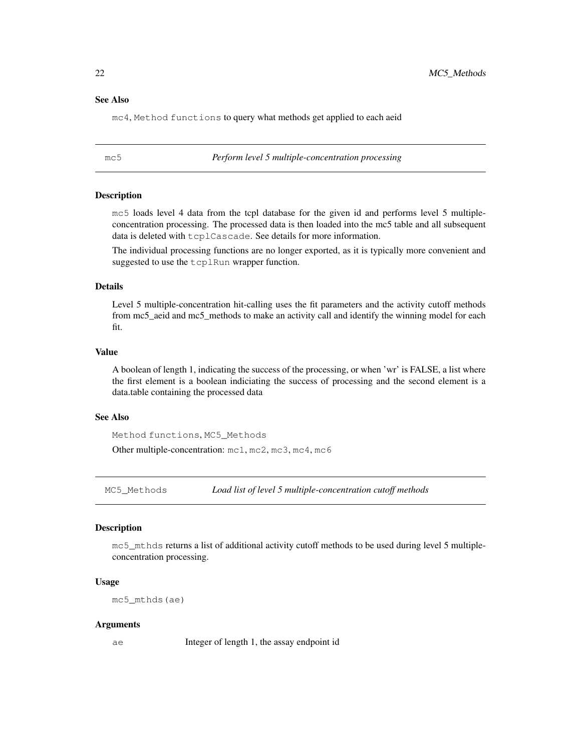#### See Also

mc4, Method functions to query what methods get applied to each aeid

mc5 *Perform level 5 multiple-concentration processing*

#### **Description**

mc5 loads level 4 data from the tcpl database for the given id and performs level 5 multipleconcentration processing. The processed data is then loaded into the mc5 table and all subsequent data is deleted with tcplCascade. See details for more information.

The individual processing functions are no longer exported, as it is typically more convenient and suggested to use the  $t$ cplRun wrapper function.

### Details

Level 5 multiple-concentration hit-calling uses the fit parameters and the activity cutoff methods from mc5\_aeid and mc5\_methods to make an activity call and identify the winning model for each fit.

### Value

A boolean of length 1, indicating the success of the processing, or when 'wr' is FALSE, a list where the first element is a boolean indiciating the success of processing and the second element is a data.table containing the processed data

### See Also

Method functions, MC5\_Methods

Other multiple-concentration: mc1, mc2, mc3, mc4, mc6

MC5\_Methods *Load list of level 5 multiple-concentration cutoff methods*

#### Description

mc5\_mthds returns a list of additional activity cutoff methods to be used during level 5 multipleconcentration processing.

### Usage

mc5\_mthds(ae)

#### Arguments

ae Integer of length 1, the assay endpoint id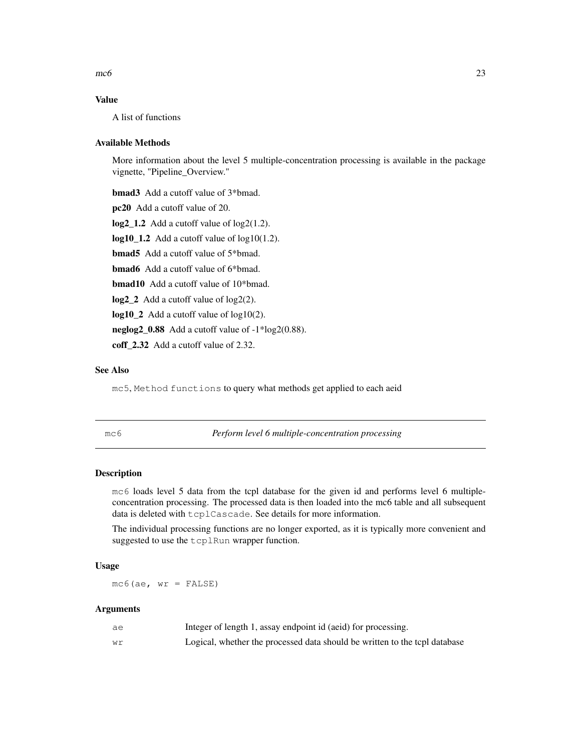$m\epsilon$ 6 23

### Value

A list of functions

#### Available Methods

More information about the level 5 multiple-concentration processing is available in the package vignette, "Pipeline\_Overview."

bmad3 Add a cutoff value of 3\*bmad. pc20 Add a cutoff value of 20. log2\_1.2 Add a cutoff value of log2(1.2).  $log10_1.2$  Add a cutoff value of  $log10(1.2)$ . bmad5 Add a cutoff value of 5\*bmad. bmad6 Add a cutoff value of 6\*bmad. bmad10 Add a cutoff value of 10\*bmad. log2\_2 Add a cutoff value of log2(2). log10<sub>-2</sub> Add a cutoff value of log10(2). neglog2  $0.88$  Add a cutoff value of  $-1*log2(0.88)$ . coff<sup>2.32</sup> Add a cutoff value of 2.32.

## See Also

mc5, Method functions to query what methods get applied to each aeid

mc6 *Perform level 6 multiple-concentration processing*

#### Description

mc6 loads level 5 data from the tcpl database for the given id and performs level 6 multipleconcentration processing. The processed data is then loaded into the mc6 table and all subsequent data is deleted with tcplCascade. See details for more information.

The individual processing functions are no longer exported, as it is typically more convenient and suggested to use the tcplRun wrapper function.

#### Usage

 $mc6(ae, wr = FALSE)$ 

| ae | Integer of length 1, assay endpoint id (aeid) for processing.              |
|----|----------------------------------------------------------------------------|
| wr | Logical, whether the processed data should be written to the tcpl database |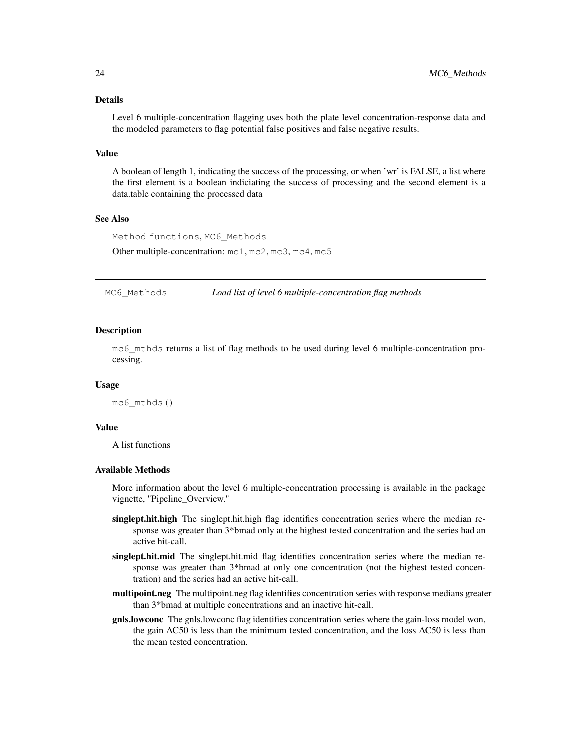### Details

Level 6 multiple-concentration flagging uses both the plate level concentration-response data and the modeled parameters to flag potential false positives and false negative results.

#### Value

A boolean of length 1, indicating the success of the processing, or when 'wr' is FALSE, a list where the first element is a boolean indiciating the success of processing and the second element is a data.table containing the processed data

### See Also

Method functions, MC6\_Methods

Other multiple-concentration: mc1, mc2, mc3, mc4, mc5

MC6\_Methods *Load list of level 6 multiple-concentration flag methods*

#### **Description**

mc6\_mthds returns a list of flag methods to be used during level 6 multiple-concentration processing.

#### Usage

```
mc6_mthds()
```
### Value

A list functions

### Available Methods

More information about the level 6 multiple-concentration processing is available in the package vignette, "Pipeline\_Overview."

- singlept.hit.high The singlept.hit.high flag identifies concentration series where the median response was greater than 3\*bmad only at the highest tested concentration and the series had an active hit-call.
- singlept.hit.mid The singlept.hit.mid flag identifies concentration series where the median response was greater than  $3*$ bmad at only one concentration (not the highest tested concentration) and the series had an active hit-call.
- multipoint.neg The multipoint.neg flag identifies concentration series with response medians greater than 3\*bmad at multiple concentrations and an inactive hit-call.
- gnls.lowconc The gnls.lowconc flag identifies concentration series where the gain-loss model won, the gain AC50 is less than the minimum tested concentration, and the loss AC50 is less than the mean tested concentration.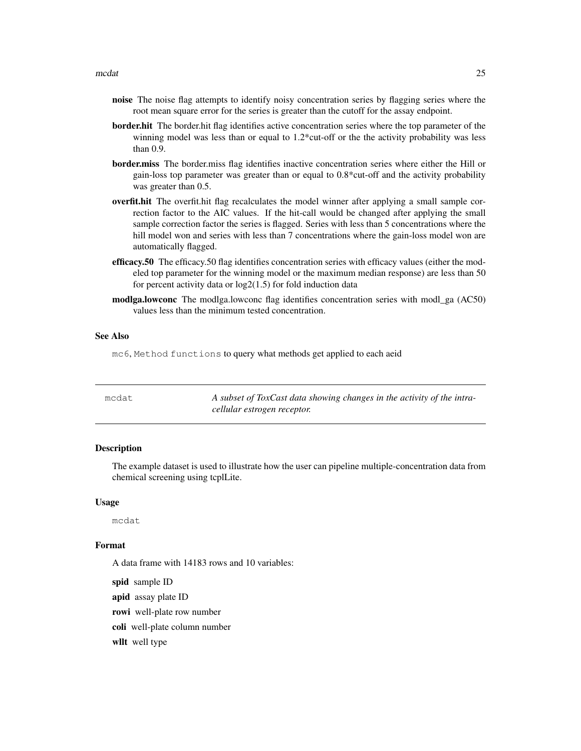- noise The noise flag attempts to identify noisy concentration series by flagging series where the root mean square error for the series is greater than the cutoff for the assay endpoint.
- border.hit The border.hit flag identifies active concentration series where the top parameter of the winning model was less than or equal to 1.2\*cut-off or the the activity probability was less than  $0.9$
- **border.miss** The border.miss flag identifies inactive concentration series where either the Hill or gain-loss top parameter was greater than or equal to 0.8\*cut-off and the activity probability was greater than 0.5.
- overfit.hit The overfit.hit flag recalculates the model winner after applying a small sample correction factor to the AIC values. If the hit-call would be changed after applying the small sample correction factor the series is flagged. Series with less than 5 concentrations where the hill model won and series with less than 7 concentrations where the gain-loss model won are automatically flagged.
- efficacy.50 The efficacy.50 flag identifies concentration series with efficacy values (either the modeled top parameter for the winning model or the maximum median response) are less than 50 for percent activity data or  $log2(1.5)$  for fold induction data
- modlga.lowconc The modlga.lowconc flag identifies concentration series with modl\_ga (AC50) values less than the minimum tested concentration.

#### See Also

mc6, Method functions to query what methods get applied to each aeid

| mcdat | A subset of ToxCast data showing changes in the activity of the intra- |
|-------|------------------------------------------------------------------------|
|       | cellular estrogen receptor.                                            |

### Description

The example dataset is used to illustrate how the user can pipeline multiple-concentration data from chemical screening using tcplLite.

#### Usage

mcdat

### Format

A data frame with 14183 rows and 10 variables:

spid sample ID

apid assay plate ID

rowi well-plate row number

coli well-plate column number

wllt well type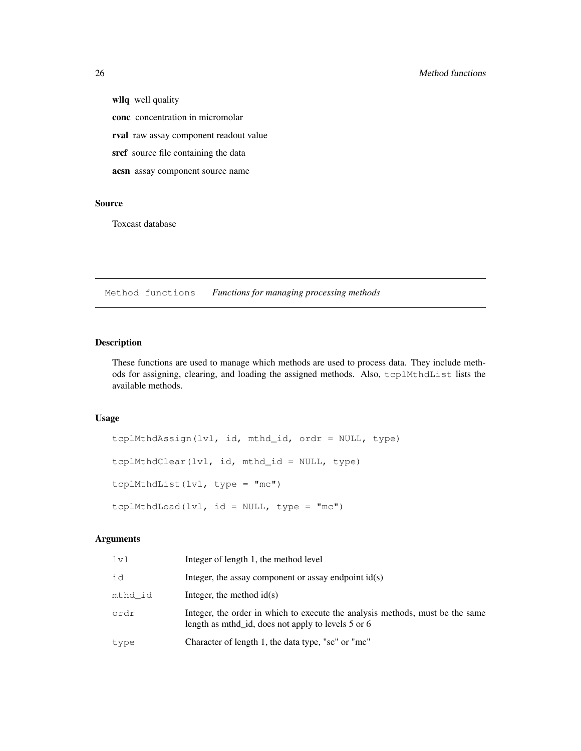wllq well quality

conc concentration in micromolar

rval raw assay component readout value

srcf source file containing the data

acsn assay component source name

### Source

Toxcast database

Method functions *Functions for managing processing methods*

### Description

These functions are used to manage which methods are used to process data. They include methods for assigning, clearing, and loading the assigned methods. Also, tcplMthdList lists the available methods.

### Usage

```
tcplMthdAssign(lvl, id, mthd_id, ordr = NULL, type)
tcplMthdClear(lvl, id, mthd_id = NULL, type)
tcplMthdList(lvl, type = "mc")
tcplMthdLoad(lvl, id = NULL, type = "mc")
```

| 1v1     | Integer of length 1, the method level                                                                                               |
|---------|-------------------------------------------------------------------------------------------------------------------------------------|
| id      | Integer, the assay component or assay endpoint $id(s)$                                                                              |
| mthd id | Integer, the method $id(s)$                                                                                                         |
| ordr    | Integer, the order in which to execute the analysis methods, must be the same<br>length as mthd_id, does not apply to levels 5 or 6 |
| type    | Character of length 1, the data type, "sc" or "mc"                                                                                  |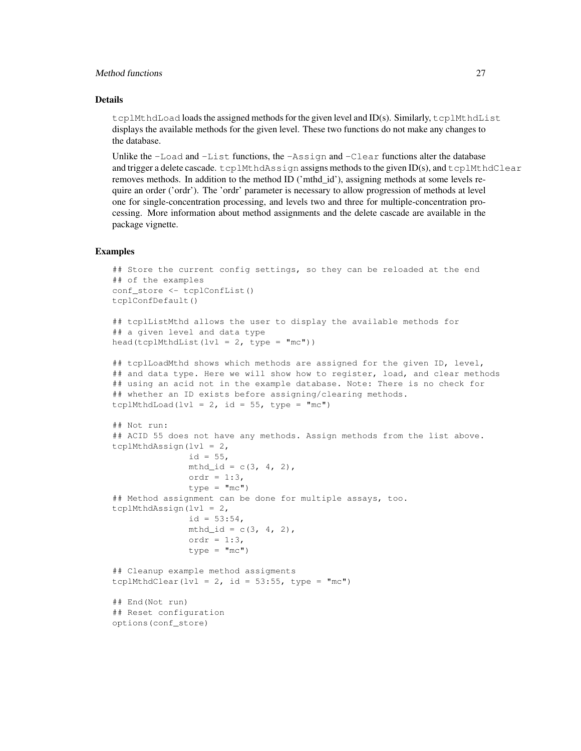### Method functions 27

### Details

tcplMthdLoad loads the assigned methods for the given level and ID(s). Similarly, tcplMthdList displays the available methods for the given level. These two functions do not make any changes to the database.

Unlike the  $-L$ oad and  $-L$ ist functions, the  $-$ Assign and  $-C$ lear functions alter the database and trigger a delete cascade.  $t$ cplMthdAssign assigns methods to the given ID(s), and  $t$ cplMthdClear removes methods. In addition to the method ID ('mthd\_id'), assigning methods at some levels require an order ('ordr'). The 'ordr' parameter is necessary to allow progression of methods at level one for single-concentration processing, and levels two and three for multiple-concentration processing. More information about method assignments and the delete cascade are available in the package vignette.

### **Examples**

```
## Store the current config settings, so they can be reloaded at the end
## of the examples
conf_store <- tcplConfList()
tcplConfDefault()
```

```
## tcplListMthd allows the user to display the available methods for
## a given level and data type
head(tcplMthdList(lvl = 2, type = "mc"))
```

```
## tcplLoadMthd shows which methods are assigned for the given ID, level,
## and data type. Here we will show how to register, load, and clear methods
## using an acid not in the example database. Note: There is no check for
## whether an ID exists before assigning/clearing methods.
tcplMthdLoad(lvl = 2, id = 55, type = "mc")
```

```
## Not run:
## ACID 55 does not have any methods. Assign methods from the list above.
tcplMthdAssign(lvl = 2,
              id = 55,
              mthd_id = c(3, 4, 2),ordr = 1:3,
              type = "mc")## Method assignment can be done for multiple assays, too.
tcplMthdAssign(lvl = 2,
              id = 53:54,
              mthd_id = c(3, 4, 2),ordr = 1:3,
               type = "mc")
## Cleanup example method assigments
tcplMthdClear(lvl = 2, id = 53:55, type = "mc")
```

```
## End(Not run)
## Reset configuration
options(conf_store)
```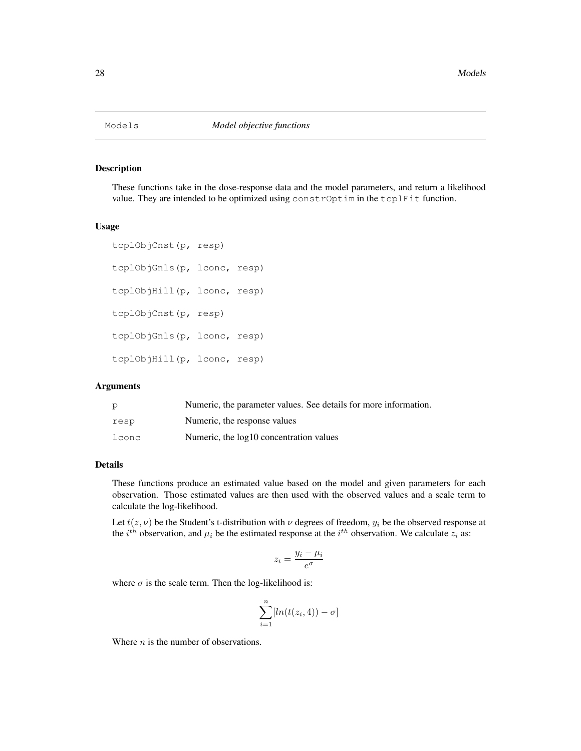### Description

These functions take in the dose-response data and the model parameters, and return a likelihood value. They are intended to be optimized using constrOptim in the tcplFit function.

#### Usage

```
tcplObjCnst(p, resp)
tcplObjGnls(p, lconc, resp)
tcplObjHill(p, lconc, resp)
tcplObjCnst(p, resp)
tcplObjGnls(p, lconc, resp)
tcplObjHill(p, lconc, resp)
```
### Arguments

|       | Numeric, the parameter values. See details for more information. |
|-------|------------------------------------------------------------------|
| resp  | Numeric, the response values                                     |
| lconc | Numeric, the log10 concentration values                          |

### Details

These functions produce an estimated value based on the model and given parameters for each observation. Those estimated values are then used with the observed values and a scale term to calculate the log-likelihood.

Let  $t(z, \nu)$  be the Student's t-distribution with  $\nu$  degrees of freedom,  $y_i$  be the observed response at the  $i^{th}$  observation, and  $\mu_i$  be the estimated response at the  $i^{th}$  observation. We calculate  $z_i$  as:

$$
z_i = \frac{y_i - \mu_i}{e^{\sigma}}
$$

where  $\sigma$  is the scale term. Then the log-likelihood is:

$$
\sum_{i=1}^{n} [ln(t(z_i, 4)) - \sigma]
$$

Where  $n$  is the number of observations.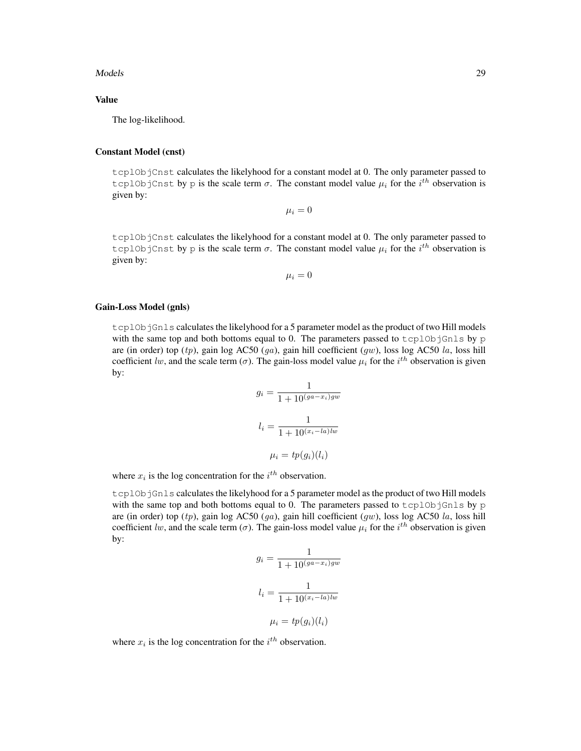#### Models 29

#### Value

The log-likelihood.

#### Constant Model (cnst)

tcplObjCnst calculates the likelyhood for a constant model at 0. The only parameter passed to tcplObjCnst by p is the scale term  $\sigma$ . The constant model value  $\mu_i$  for the  $i^{th}$  observation is given by:

 $\mu_i = 0$ 

tcplObjCnst calculates the likelyhood for a constant model at 0. The only parameter passed to tcplObjCnst by p is the scale term  $\sigma$ . The constant model value  $\mu_i$  for the  $i^{th}$  observation is given by:

 $\mu_i = 0$ 

#### Gain-Loss Model (gnls)

tcplObjGnls calculates the likelyhood for a 5 parameter model as the product of two Hill models with the same top and both bottoms equal to 0. The parameters passed to  $tcp10bjGnls$  by p are (in order) top (tp), gain log AC50 (ga), gain hill coefficient (gw), loss log AC50 la, loss hill coefficient lw, and the scale term ( $\sigma$ ). The gain-loss model value  $\mu_i$  for the  $i^{th}$  observation is given by:

$$
g_i = \frac{1}{1 + 10^{(ga - x_i)gw}}
$$

$$
l_i = \frac{1}{1 + 10^{(x_i - la)lw}}
$$

$$
\mu_i = tp(g_i)(l_i)
$$

where  $x_i$  is the log concentration for the  $i^{th}$  observation.

tcplObjGnls calculates the likelyhood for a 5 parameter model as the product of two Hill models with the same top and both bottoms equal to 0. The parameters passed to  $t$ cplObjGnls by p are (in order) top (tp), gain log AC50 (ga), gain hill coefficient (gw), loss log AC50 la, loss hill coefficient lw, and the scale term ( $\sigma$ ). The gain-loss model value  $\mu_i$  for the  $i^{th}$  observation is given by:

$$
g_i = \frac{1}{1 + 10^{(ga - x_i)gw}}
$$

$$
l_i = \frac{1}{1 + 10^{(x_i - la)lw}}
$$

$$
\mu_i = tp(g_i)(l_i)
$$

where  $x_i$  is the log concentration for the  $i^{th}$  observation.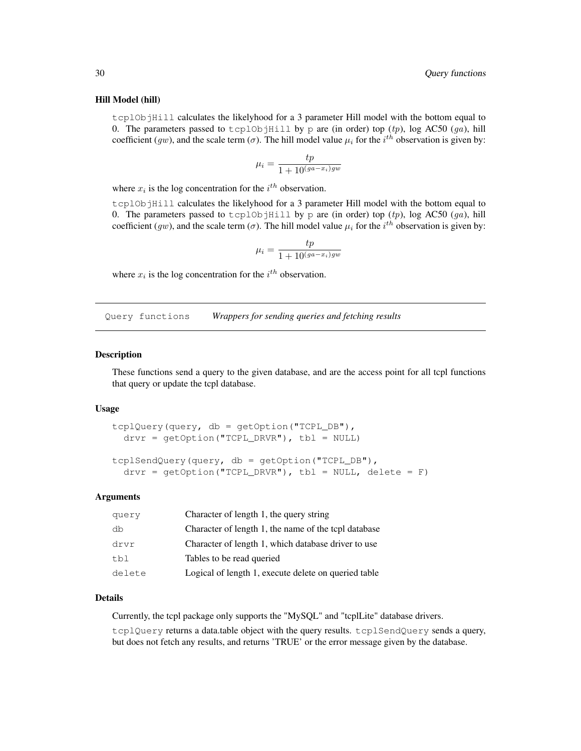#### Hill Model (hill)

tcplObjHill calculates the likelyhood for a 3 parameter Hill model with the bottom equal to 0. The parameters passed to tcplObjHill by p are (in order) top  $(tp)$ , log AC50  $(qa)$ , hill coefficient (gw), and the scale term ( $\sigma$ ). The hill model value  $\mu_i$  for the  $i^{th}$  observation is given by:

$$
\mu_i = \frac{tp}{1 + 10^{(ga - x_i)gw}}
$$

where  $x_i$  is the log concentration for the  $i^{th}$  observation.

tcplObjHill calculates the likelyhood for a 3 parameter Hill model with the bottom equal to 0. The parameters passed to tcplObjHill by p are (in order) top  $(tp)$ , log AC50  $(ga)$ , hill coefficient (gw), and the scale term ( $\sigma$ ). The hill model value  $\mu_i$  for the  $i^{th}$  observation is given by:

$$
\mu_i = \frac{tp}{1 + 10^{(ga - x_i)gw}}
$$

where  $x_i$  is the log concentration for the  $i^{th}$  observation.

Query functions *Wrappers for sending queries and fetching results*

#### Description

These functions send a query to the given database, and are the access point for all tcpl functions that query or update the tcpl database.

#### Usage

```
tcplQuery(query, db = getOption("TCPL_DB"),
 drvr = getOption("TCPL_DRVR"), tbl = NULL)
tcplSendQuery(query, db = getOption("TCPL_DB"),
  drvr = getOption("TCPL_DRVR"), tbl = NULL, delete = F)
```
#### Arguments

| query  | Character of length 1, the query string              |
|--------|------------------------------------------------------|
| db     | Character of length 1, the name of the tcpl database |
| drvr   | Character of length 1, which database driver to use  |
| tbl    | Tables to be read queried                            |
| delete | Logical of length 1, execute delete on queried table |

### Details

Currently, the tcpl package only supports the "MySQL" and "tcplLite" database drivers.

tcplQuery returns a data.table object with the query results. tcplSendQuery sends a query, but does not fetch any results, and returns 'TRUE' or the error message given by the database.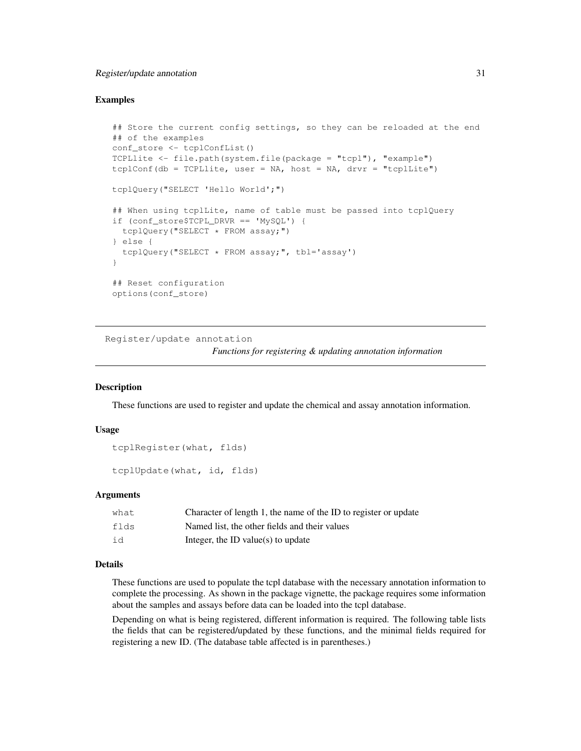### Register/update annotation 31

#### Examples

```
## Store the current config settings, so they can be reloaded at the end
## of the examples
conf_store <- tcplConfList()
TCPLlite <- file.path(system.file(package = "tcpl"), "example")
tcplConf(db = TCPLlite, user = NA, host = NA, drvr = "tcplLite")
tcplQuery("SELECT 'Hello World';")
## When using tcplLite, name of table must be passed into tcplQuery
if (conf_store$TCPL_DRVR == 'MySQL') {
  tcplQuery("SELECT * FROM assay;")
} else {
  tcplQuery("SELECT * FROM assay;", tbl='assay')
}
## Reset configuration
options(conf_store)
```
Register/update annotation

*Functions for registering & updating annotation information*

#### **Description**

These functions are used to register and update the chemical and assay annotation information.

#### Usage

```
tcplRegister(what, flds)
```
tcplUpdate(what, id, flds)

#### Arguments

| what | Character of length 1, the name of the ID to register or update |
|------|-----------------------------------------------------------------|
| flds | Named list, the other fields and their values                   |
| id   | Integer, the ID value(s) to update                              |

#### Details

These functions are used to populate the tcpl database with the necessary annotation information to complete the processing. As shown in the package vignette, the package requires some information about the samples and assays before data can be loaded into the tcpl database.

Depending on what is being registered, different information is required. The following table lists the fields that can be registered/updated by these functions, and the minimal fields required for registering a new ID. (The database table affected is in parentheses.)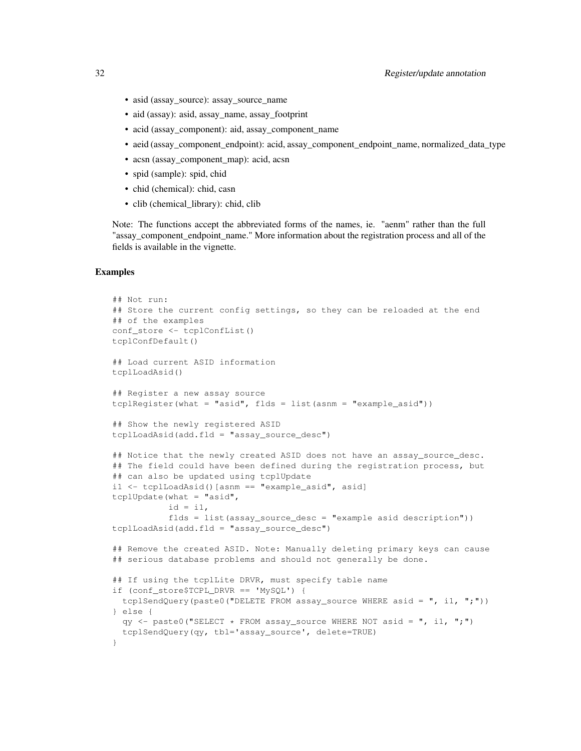- asid (assay\_source): assay\_source\_name
- aid (assay): asid, assay\_name, assay\_footprint
- acid (assay\_component): aid, assay\_component\_name
- aeid (assay\_component\_endpoint): acid, assay\_component\_endpoint\_name, normalized\_data\_type
- acsn (assay\_component\_map): acid, acsn
- spid (sample): spid, chid
- chid (chemical): chid, casn
- clib (chemical\_library): chid, clib

Note: The functions accept the abbreviated forms of the names, ie. "aenm" rather than the full "assay\_component\_endpoint\_name." More information about the registration process and all of the fields is available in the vignette.

### Examples

```
## Not run:
## Store the current config settings, so they can be reloaded at the end
## of the examples
conf_store <- tcplConfList()
tcplConfDefault()
## Load current ASID information
tcplLoadAsid()
## Register a new assay source
tcplReqister(what = "asid", flds = list(asnm = "example_asid"))
## Show the newly registered ASID
tcplLoadAsid(add.fld = "assay_source_desc")
## Notice that the newly created ASID does not have an assay_source_desc.
## The field could have been defined during the registration process, but
## can also be updated using tcplUpdate
i1 <- tcplLoadAsid()[asnm == "example_asid", asid]
tcplUpdate(what = "asid",
           id = i1,flds = list(assay_source_desc = "example asid description"))
tcplLoadAsid(add.fld = "assay_source_desc")
## Remove the created ASID. Note: Manually deleting primary keys can cause
## serious database problems and should not generally be done.
## If using the tcplLite DRVR, must specify table name
if (conf_store$TCPL_DRVR == 'MySQL') {
  tcplSendQuery(paste0("DELETE FROM assay_source WHERE asid = ", i1, ";"))
} else {
  qy \langle - paste0("SELECT \star FROM assay_source WHERE NOT asid = ", i1, ";")
  tcplSendQuery(qy, tbl='assay_source', delete=TRUE)
}
```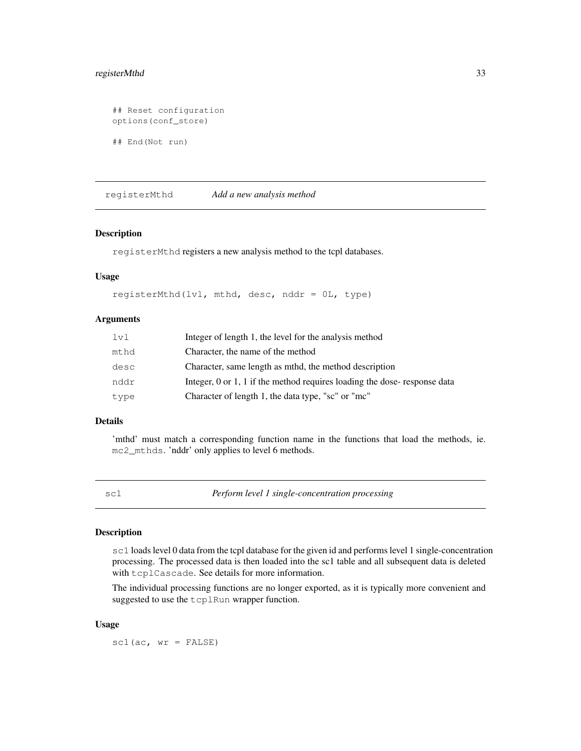### registerMthd 33

```
## Reset configuration
options(conf_store)
## End(Not run)
```
registerMthd *Add a new analysis method*

### Description

registerMthd registers a new analysis method to the tcpl databases.

### Usage

```
registerMthd(lvl, mthd, desc, nddr = 0L, type)
```
### Arguments

| 1v1  | Integer of length 1, the level for the analysis method                   |
|------|--------------------------------------------------------------------------|
| mthd | Character, the name of the method                                        |
| desc | Character, same length as mthd, the method description                   |
| nddr | Integer, 0 or 1, 1 if the method requires loading the dose-response data |
| type | Character of length 1, the data type, "sc" or "mc"                       |

### Details

'mthd' must match a corresponding function name in the functions that load the methods, ie. mc2\_mthds. 'nddr' only applies to level 6 methods.

sc1 *Perform level 1 single-concentration processing*

#### Description

sc1 loads level 0 data from the tcpl database for the given id and performs level 1 single-concentration processing. The processed data is then loaded into the sc1 table and all subsequent data is deleted with tcplCascade. See details for more information.

The individual processing functions are no longer exported, as it is typically more convenient and suggested to use the tcplRun wrapper function.

#### Usage

 $scl(ac, wr = FALSE)$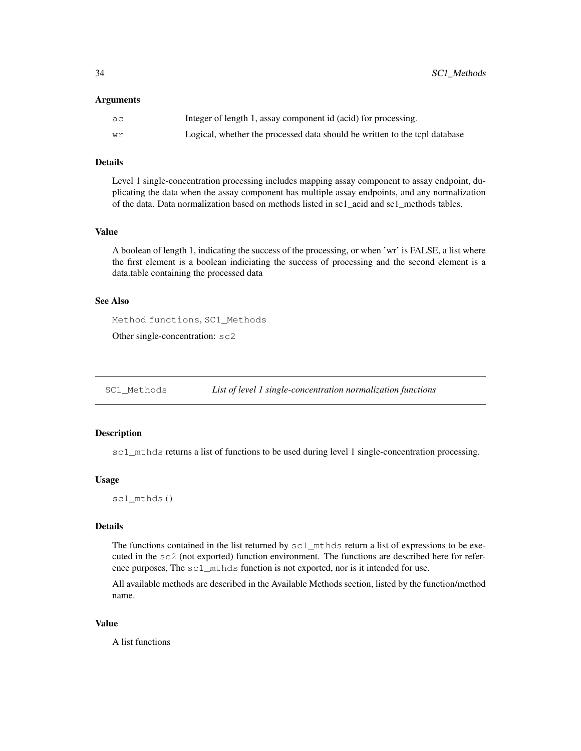#### Arguments

| ac | Integer of length 1, assay component id (acid) for processing.             |
|----|----------------------------------------------------------------------------|
| Wr | Logical, whether the processed data should be written to the tcpl database |

### Details

Level 1 single-concentration processing includes mapping assay component to assay endpoint, duplicating the data when the assay component has multiple assay endpoints, and any normalization of the data. Data normalization based on methods listed in sc1\_aeid and sc1\_methods tables.

#### Value

A boolean of length 1, indicating the success of the processing, or when 'wr' is FALSE, a list where the first element is a boolean indiciating the success of processing and the second element is a data.table containing the processed data

#### See Also

Method functions, SC1\_Methods

Other single-concentration: sc2

SC1\_Methods *List of level 1 single-concentration normalization functions*

### Description

sc1\_mthds returns a list of functions to be used during level 1 single-concentration processing.

#### Usage

sc1\_mthds()

### Details

The functions contained in the list returned by  $\text{sc1\_mthds}$  return a list of expressions to be executed in the sc2 (not exported) function environment. The functions are described here for reference purposes, The sc1\_mthds function is not exported, nor is it intended for use.

All available methods are described in the Available Methods section, listed by the function/method name.

#### Value

A list functions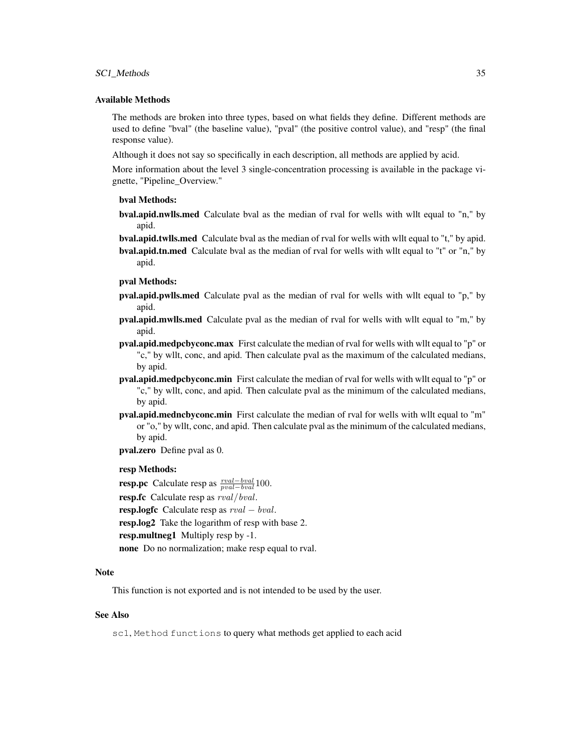#### SC1\_Methods 35

#### Available Methods

The methods are broken into three types, based on what fields they define. Different methods are used to define "bval" (the baseline value), "pval" (the positive control value), and "resp" (the final response value).

Although it does not say so specifically in each description, all methods are applied by acid.

More information about the level 3 single-concentration processing is available in the package vignette, "Pipeline\_Overview."

#### bval Methods:

bval.apid.nwlls.med Calculate bval as the median of rval for wells with wllt equal to "n," by apid.

bval.apid.twlls.med Calculate bval as the median of rval for wells with wllt equal to "t," by apid. bval.apid.tn.med Calculate bval as the median of rval for wells with wllt equal to "t" or "n," by apid.

### pval Methods:

- pval.apid.pwlls.med Calculate pval as the median of rval for wells with wllt equal to "p," by apid.
- pval.apid.mwlls.med Calculate pval as the median of rval for wells with wllt equal to "m," by apid.
- pval.apid.medpcbyconc.max First calculate the median of rval for wells with wllt equal to "p" or "c," by wllt, conc, and apid. Then calculate pval as the maximum of the calculated medians, by apid.
- pval.apid.medpcbyconc.min First calculate the median of rval for wells with wllt equal to "p" or "c," by wllt, conc, and apid. Then calculate pval as the minimum of the calculated medians, by apid.
- pval.apid.medncbyconc.min First calculate the median of rval for wells with wllt equal to "m" or "o," by wllt, conc, and apid. Then calculate pval as the minimum of the calculated medians, by apid.
- pval.zero Define pval as 0.

### resp Methods:

**resp.pc** Calculate resp as  $\frac{rval-bval}{pval-bval}100$ .

resp.fc Calculate resp as  $rval/bval$ .

resp.logfc Calculate resp as  $rval - bval$ .

resp.log2 Take the logarithm of resp with base 2.

resp.multneg1 Multiply resp by -1.

none Do no normalization; make resp equal to rval.

#### Note

This function is not exported and is not intended to be used by the user.

### See Also

sc1, Method functions to query what methods get applied to each acid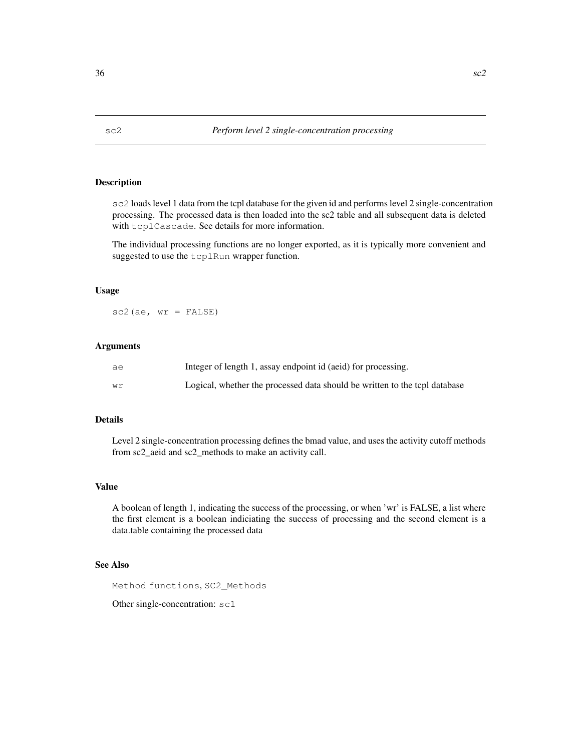### **Description**

sc2 loads level 1 data from the tcpl database for the given id and performs level 2 single-concentration processing. The processed data is then loaded into the sc2 table and all subsequent data is deleted with tcplCascade. See details for more information.

The individual processing functions are no longer exported, as it is typically more convenient and suggested to use the tcplRun wrapper function.

### Usage

 $sc2(ae, wr = FALSE)$ 

#### Arguments

| ae | Integer of length 1, assay endpoint id (aeid) for processing.              |
|----|----------------------------------------------------------------------------|
| wr | Logical, whether the processed data should be written to the tcpl database |

### Details

Level 2 single-concentration processing defines the bmad value, and uses the activity cutoff methods from sc2\_aeid and sc2\_methods to make an activity call.

### Value

A boolean of length 1, indicating the success of the processing, or when 'wr' is FALSE, a list where the first element is a boolean indiciating the success of processing and the second element is a data.table containing the processed data

### See Also

Method functions, SC2\_Methods

Other single-concentration: sc1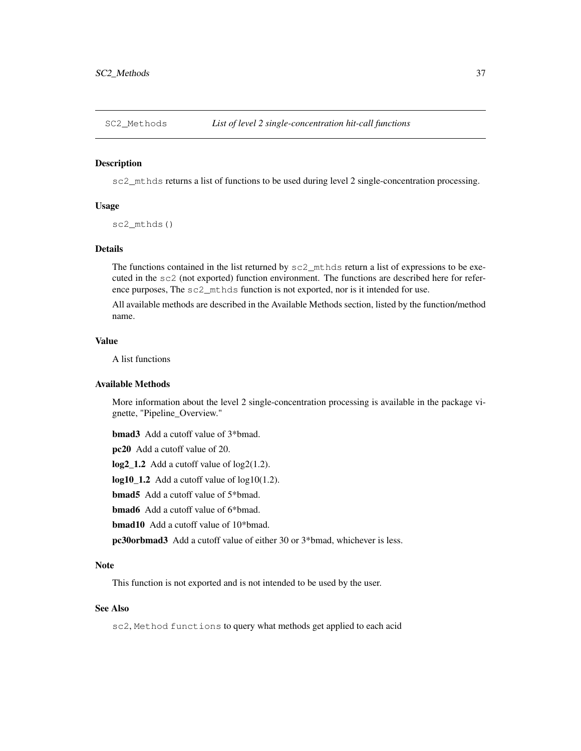#### Description

sc2\_mthds returns a list of functions to be used during level 2 single-concentration processing.

### Usage

sc2\_mthds()

### Details

The functions contained in the list returned by  $\text{sc2}_{\text{mth}}$  return a list of expressions to be executed in the sc2 (not exported) function environment. The functions are described here for reference purposes, The sc2\_mthds function is not exported, nor is it intended for use.

All available methods are described in the Available Methods section, listed by the function/method name.

### Value

A list functions

### Available Methods

More information about the level 2 single-concentration processing is available in the package vignette, "Pipeline\_Overview."

bmad3 Add a cutoff value of 3\*bmad.

pc20 Add a cutoff value of 20.

log2\_1.2 Add a cutoff value of log2(1.2).

 $log10_1.2$  Add a cutoff value of  $log10(1.2)$ .

bmad5 Add a cutoff value of 5\*bmad.

bmad6 Add a cutoff value of 6\*bmad.

bmad10 Add a cutoff value of 10\*bmad.

pc30orbmad3 Add a cutoff value of either 30 or 3\*bmad, whichever is less.

#### Note

This function is not exported and is not intended to be used by the user.

### See Also

sc2, Method functions to query what methods get applied to each acid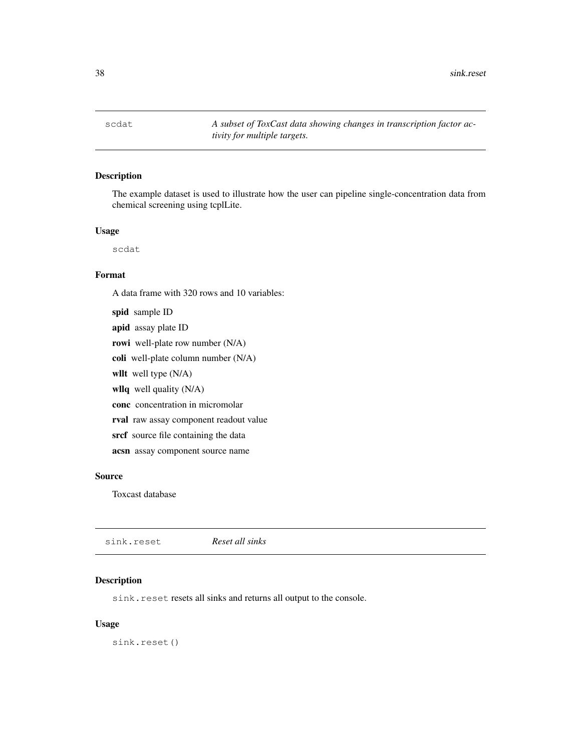scdat *A subset of ToxCast data showing changes in transcription factor activity for multiple targets.*

### Description

The example dataset is used to illustrate how the user can pipeline single-concentration data from chemical screening using tcplLite.

### Usage

scdat

#### Format

A data frame with 320 rows and 10 variables:

spid sample ID apid assay plate ID rowi well-plate row number (N/A) coli well-plate column number (N/A) wllt well type (N/A) wllq well quality (N/A) conc concentration in micromolar rval raw assay component readout value srcf source file containing the data acsn assay component source name

### Source

Toxcast database

| sink.reset | Reset all sinks |  |
|------------|-----------------|--|
|            |                 |  |

### Description

sink.reset resets all sinks and returns all output to the console.

#### Usage

sink.reset()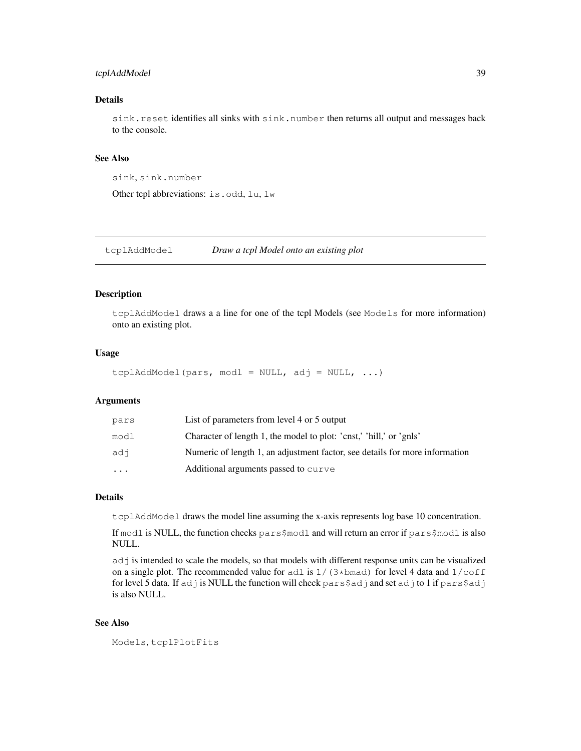### tcplAddModel 39

### Details

sink.reset identifies all sinks with sink.number then returns all output and messages back to the console.

### See Also

```
sink, sink.number
```
Other tcpl abbreviations: is.odd, lu, lw

tcplAddModel *Draw a tcpl Model onto an existing plot*

#### Description

tcplAddModel draws a a line for one of the tcpl Models (see Models for more information) onto an existing plot.

#### Usage

```
tcplAddModel(pars, modl = NULL, adj = NULL, \ldots)
```
### Arguments

| pars     | List of parameters from level 4 or 5 output                                 |
|----------|-----------------------------------------------------------------------------|
| modl     | Character of length 1, the model to plot: 'cnst,' 'hill,' or 'gnls'         |
| adi      | Numeric of length 1, an adjustment factor, see details for more information |
| $\cdots$ | Additional arguments passed to curve                                        |

### Details

tcplAddModel draws the model line assuming the x-axis represents log base 10 concentration.

If modl is NULL, the function checks pars\$modl and will return an error if pars\$modl is also NULL.

adj is intended to scale the models, so that models with different response units can be visualized on a single plot. The recommended value for adl is  $1/(3***b**)$  for level 4 data and  $1/\text{coff}$ for level 5 data. If adj is NULL the function will check pars\$adj and set adj to 1 if pars\$adj is also NULL.

#### See Also

Models, tcplPlotFits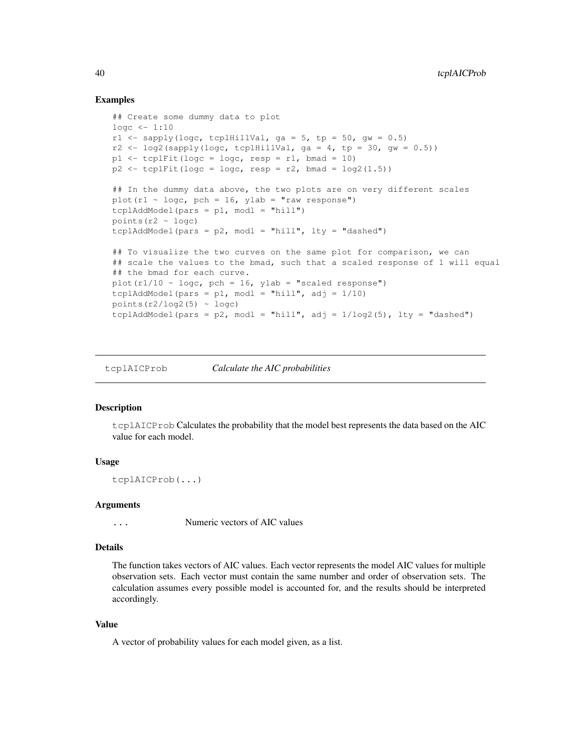#### Examples

```
## Create some dummy data to plot
10qc < -1:10r1 <- sapply(logc, tcplHillVal, ga = 5, tp = 50, gw = 0.5)
r2 \leftarrow \log2 (sapply(loge, tcplHillVal, ga = 4, tp = 30, gw = 0.5))
p1 \le -\text{tcplFit}(\text{loqc} = \text{loqc}, \text{resp} = r1, \text{bmad} = 10)p2 \le -\text{tcplFit}(\text{logc} = \text{logc}, \text{resp} = r2, \text{bmad} = \text{log2}(1.5))## In the dummy data above, the two plots are on very different scales
plot(r1 \sim logc, pch = 16, ylab = "raw response")
tcp1AddModel(pars = p1, mod1 = "hill")points (r2 \sim \text{logc})tcplAddModel(pars = p2, modl = "hill", lty = "dashed")## To visualize the two curves on the same plot for comparison, we can
## scale the values to the bmad, such that a scaled response of 1 will equal
## the bmad for each curve.
plot(r1/10 \sim \text{log}c, pch = 16, ylab = "scaled response")tcplAddModel(pars = p1, modl = "hill", adj = 1/10)
points(r2/log2(5) \sim logc)
tcplAddModel(pars = p2, modl = "hill", adj = 1/\log(2/5), lty = "dashed")
```
tcplAICProb *Calculate the AIC probabilities*

#### Description

 $t$ cplAICProb Calculates the probability that the model best represents the data based on the AIC value for each model.

#### Usage

tcplAICProb(...)

#### Arguments

... Numeric vectors of AIC values

### Details

The function takes vectors of AIC values. Each vector represents the model AIC values for multiple observation sets. Each vector must contain the same number and order of observation sets. The calculation assumes every possible model is accounted for, and the results should be interpreted accordingly.

#### Value

A vector of probability values for each model given, as a list.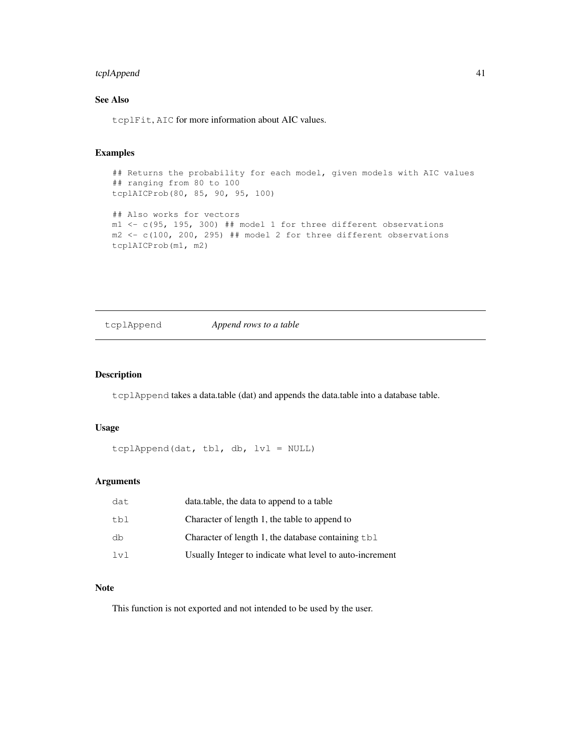### tcplAppend 41

### See Also

tcplFit, AIC for more information about AIC values.

### Examples

```
## Returns the probability for each model, given models with AIC values
## ranging from 80 to 100
tcplAICProb(80, 85, 90, 95, 100)
## Also works for vectors
m1 <- c(95, 195, 300) ## model 1 for three different observations
m2 \leq c(100, 200, 295) ## model 2 for three different observations
tcplAICProb(m1, m2)
```
tcplAppend *Append rows to a table*

### Description

tcplAppend takes a data.table (dat) and appends the data.table into a database table.

### Usage

tcplAppend(dat, tbl, db, lvl = NULL)

### Arguments

| dat | data.table, the data to append to a table                  |
|-----|------------------------------------------------------------|
| tbl | Character of length 1, the table to append to              |
| db  | Character of length 1, the database containing $\text{td}$ |
| 1v1 | Usually Integer to indicate what level to auto-increment   |

#### Note

This function is not exported and not intended to be used by the user.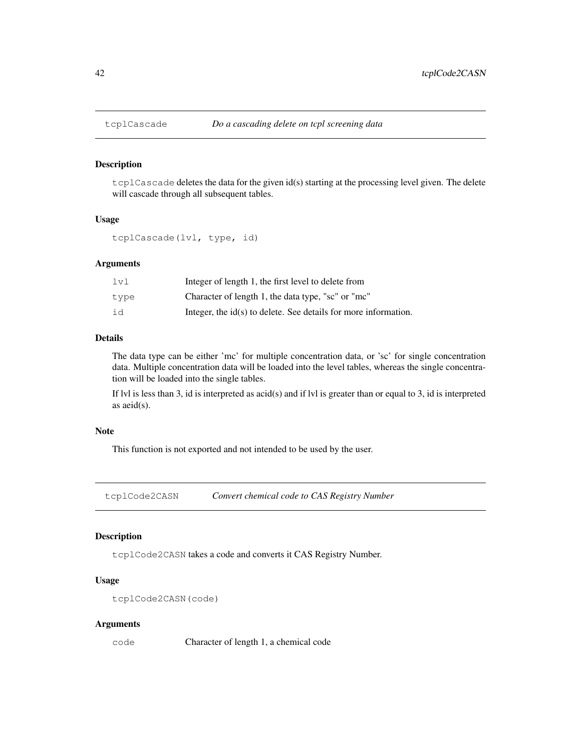#### Description

tcplCascade deletes the data for the given id(s) starting at the processing level given. The delete will cascade through all subsequent tables.

### Usage

tcplCascade(lvl, type, id)

### Arguments

| 1v1  | Integer of length 1, the first level to delete from               |
|------|-------------------------------------------------------------------|
| tvpe | Character of length 1, the data type, "sc" or "mc"                |
| id   | Integer, the $id(s)$ to delete. See details for more information. |

### Details

The data type can be either 'mc' for multiple concentration data, or 'sc' for single concentration data. Multiple concentration data will be loaded into the level tables, whereas the single concentration will be loaded into the single tables.

If lvl is less than 3, id is interpreted as acid(s) and if lvl is greater than or equal to 3, id is interpreted as aeid(s).

#### Note

This function is not exported and not intended to be used by the user.

tcplCode2CASN *Convert chemical code to CAS Registry Number*

### Description

tcplCode2CASN takes a code and converts it CAS Registry Number.

### Usage

```
tcplCode2CASN(code)
```
#### Arguments

code Character of length 1, a chemical code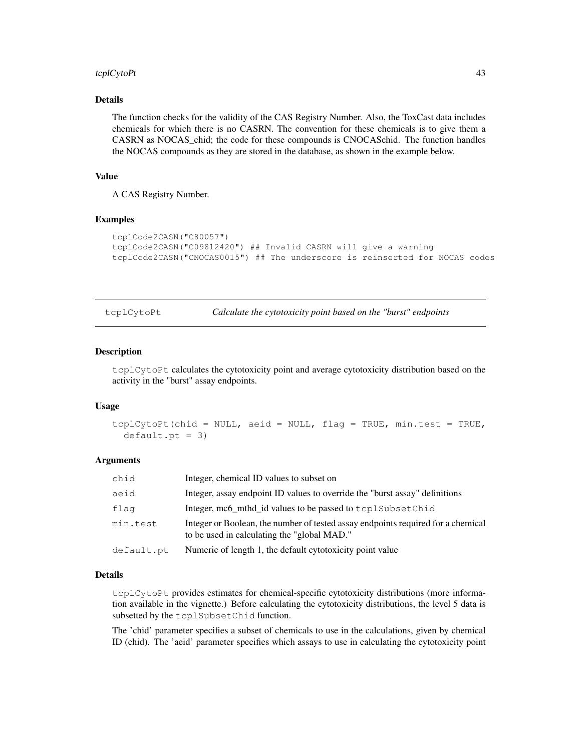### tcplCytoPt 43

### Details

The function checks for the validity of the CAS Registry Number. Also, the ToxCast data includes chemicals for which there is no CASRN. The convention for these chemicals is to give them a CASRN as NOCAS\_chid; the code for these compounds is CNOCASchid. The function handles the NOCAS compounds as they are stored in the database, as shown in the example below.

### Value

A CAS Registry Number.

#### Examples

```
tcplCode2CASN("C80057")
tcplCode2CASN("C09812420") ## Invalid CASRN will give a warning
tcplCode2CASN("CNOCAS0015") ## The underscore is reinserted for NOCAS codes
```
tcplCytoPt *Calculate the cytotoxicity point based on the "burst" endpoints*

#### Description

tcplCytoPt calculates the cytotoxicity point and average cytotoxicity distribution based on the activity in the "burst" assay endpoints.

#### Usage

```
tcplCytoPt(chid = NULL, aeid = NULL, flag = TRUE, min.test = TRUE,
  default.pt = 3)
```
#### Arguments

| chid       | Integer, chemical ID values to subset on                                                                                        |
|------------|---------------------------------------------------------------------------------------------------------------------------------|
| aeid       | Integer, assay endpoint ID values to override the "burst assay" definitions                                                     |
| flag       | Integer, mc6_mthd_id values to be passed to tcplSubsetChid                                                                      |
| min.test   | Integer or Boolean, the number of tested assay endpoints required for a chemical<br>to be used in calculating the "global MAD." |
| default.pt | Numeric of length 1, the default cytotoxicity point value                                                                       |

#### Details

tcplCytoPt provides estimates for chemical-specific cytotoxicity distributions (more information available in the vignette.) Before calculating the cytotoxicity distributions, the level 5 data is subsetted by the tcplSubsetChid function.

The 'chid' parameter specifies a subset of chemicals to use in the calculations, given by chemical ID (chid). The 'aeid' parameter specifies which assays to use in calculating the cytotoxicity point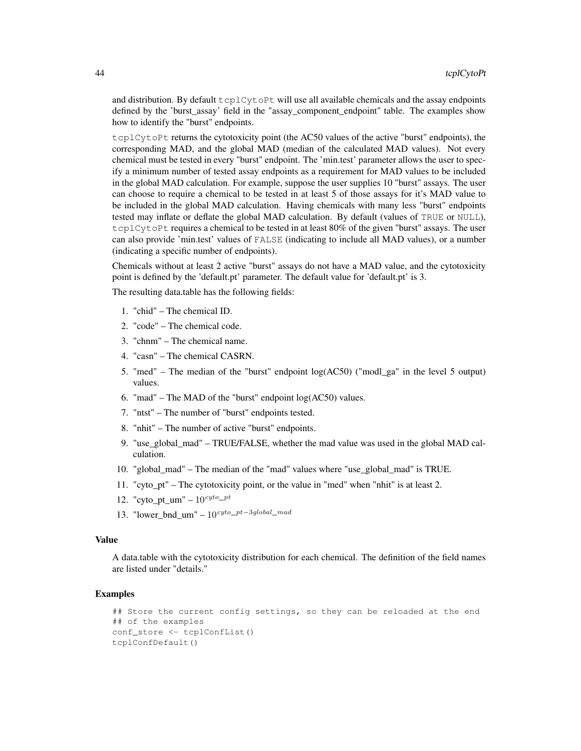and distribution. By default  $t$ cplCy $t$ oPt will use all available chemicals and the assay endpoints defined by the 'burst assay' field in the "assay component endpoint" table. The examples show how to identify the "burst" endpoints.

tcplCytoPt returns the cytotoxicity point (the AC50 values of the active "burst" endpoints), the corresponding MAD, and the global MAD (median of the calculated MAD values). Not every chemical must be tested in every "burst" endpoint. The 'min.test' parameter allows the user to specify a minimum number of tested assay endpoints as a requirement for MAD values to be included in the global MAD calculation. For example, suppose the user supplies 10 "burst" assays. The user can choose to require a chemical to be tested in at least 5 of those assays for it's MAD value to be included in the global MAD calculation. Having chemicals with many less "burst" endpoints tested may inflate or deflate the global MAD calculation. By default (values of TRUE or NULL), tcplCytoPt requires a chemical to be tested in at least 80% of the given "burst" assays. The user can also provide 'min.test' values of FALSE (indicating to include all MAD values), or a number (indicating a specific number of endpoints).

Chemicals without at least 2 active "burst" assays do not have a MAD value, and the cytotoxicity point is defined by the 'default.pt' parameter. The default value for 'default.pt' is 3.

The resulting data.table has the following fields:

- 1. "chid" The chemical ID.
- 2. "code" The chemical code.
- 3. "chnm" The chemical name.
- 4. "casn" The chemical CASRN.
- 5. "med" The median of the "burst" endpoint log(AC50) ("modl\_ga" in the level 5 output) values.
- 6. "mad" The MAD of the "burst" endpoint log(AC50) values.
- 7. "ntst" The number of "burst" endpoints tested.
- 8. "nhit" The number of active "burst" endpoints.
- 9. "use\_global\_mad" TRUE/FALSE, whether the mad value was used in the global MAD calculation.
- 10. "global\_mad" The median of the "mad" values where "use\_global\_mad" is TRUE.
- 11. "cyto\_pt" The cytotoxicity point, or the value in "med" when "nhit" is at least 2.
- 12. "cyto\_pt\_um"  $10^{cyto}$ -pt
- 13. "lower\_bnd\_um" 10cyto\_pt−3global\_mad

#### Value

A data.table with the cytotoxicity distribution for each chemical. The definition of the field names are listed under "details."

### Examples

```
## Store the current config settings, so they can be reloaded at the end
## of the examples
conf_store <- tcplConfList()
tcplConfDefault()
```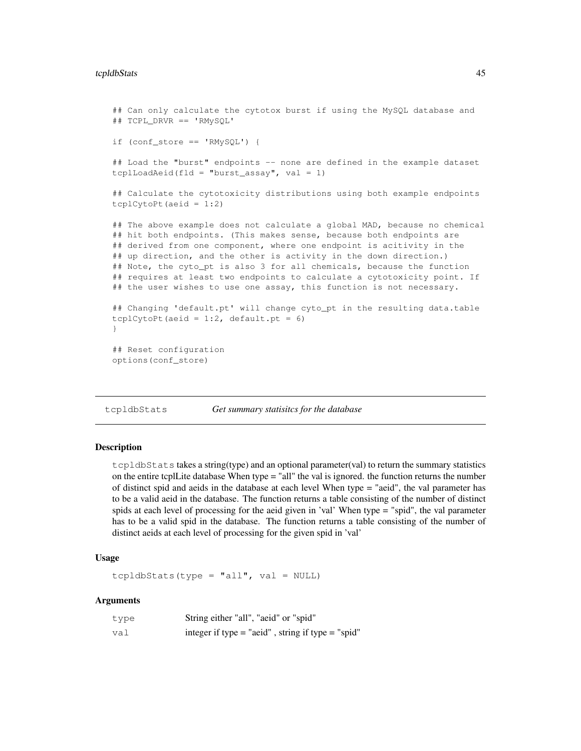### tcpldbStats 45

```
## Can only calculate the cytotox burst if using the MySQL database and
## TCPL_DRVR == 'RMySQL'
if (conf_store == 'RMySQL') {
## Load the "burst" endpoints -- none are defined in the example dataset
tcplLoadAeid(fld = "burst_assay", val = 1)
## Calculate the cytotoxicity distributions using both example endpoints
tcplCytoPt(aeid = 1:2)## The above example does not calculate a global MAD, because no chemical
## hit both endpoints. (This makes sense, because both endpoints are
## derived from one component, where one endpoint is acitivity in the
## up direction, and the other is activity in the down direction.)
## Note, the cyto_pt is also 3 for all chemicals, because the function
## requires at least two endpoints to calculate a cytotoxicity point. If
## the user wishes to use one assay, this function is not necessary.
## Changing 'default.pt' will change cyto_pt in the resulting data.table
tcplCytoPt(aeid = 1:2, default.pt = 6)
}
## Reset configuration
options(conf_store)
```
tcpldbStats *Get summary statisitcs for the database*

#### Description

tcpldbStats takes a string(type) and an optional parameter(val) to return the summary statistics on the entire tcplLite database When type = "all" the val is ignored. the function returns the number of distinct spid and aeids in the database at each level When type = "aeid", the val parameter has to be a valid aeid in the database. The function returns a table consisting of the number of distinct spids at each level of processing for the aeid given in 'val' When type = "spid", the val parameter has to be a valid spid in the database. The function returns a table consisting of the number of distinct aeids at each level of processing for the given spid in 'val'

#### Usage

tcpldbStats(type = "all", val =  $NULL$ 

| type | String either "all", "aeid" or "spid"                 |
|------|-------------------------------------------------------|
| val  | integer if type $=$ "aeid", string if type $=$ "spid" |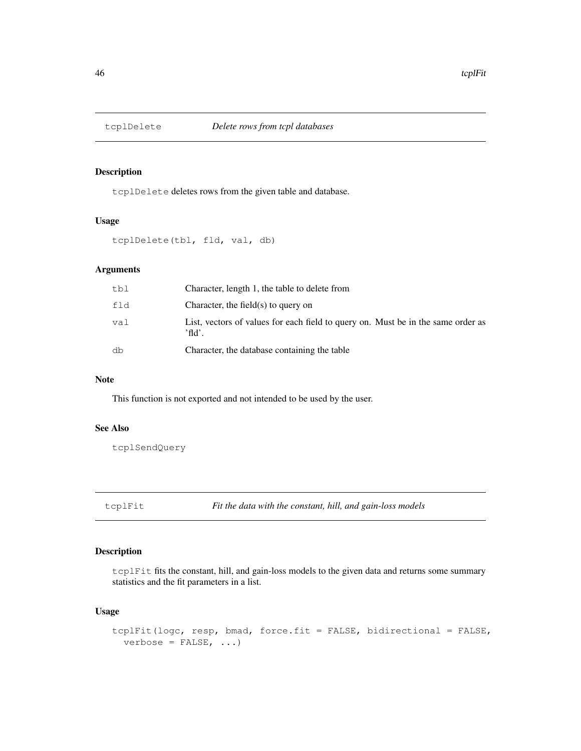## Description

tcplDelete deletes rows from the given table and database.

### Usage

tcplDelete(tbl, fld, val, db)

### Arguments

| tbl | Character, length 1, the table to delete from                                                 |
|-----|-----------------------------------------------------------------------------------------------|
| fld | Character, the field $(s)$ to query on                                                        |
| val | List, vectors of values for each field to query on. Must be in the same order as<br>$'$ fld'. |
| db  | Character, the database containing the table                                                  |

### Note

This function is not exported and not intended to be used by the user.

### See Also

tcplSendQuery

tcplFit *Fit the data with the constant, hill, and gain-loss models*

### Description

tcplFit fits the constant, hill, and gain-loss models to the given data and returns some summary statistics and the fit parameters in a list.

### Usage

```
tcplFit(logc, resp, bmad, force.fit = FALSE, bidirectional = FALSE,
 verbose = FALSE, ...)
```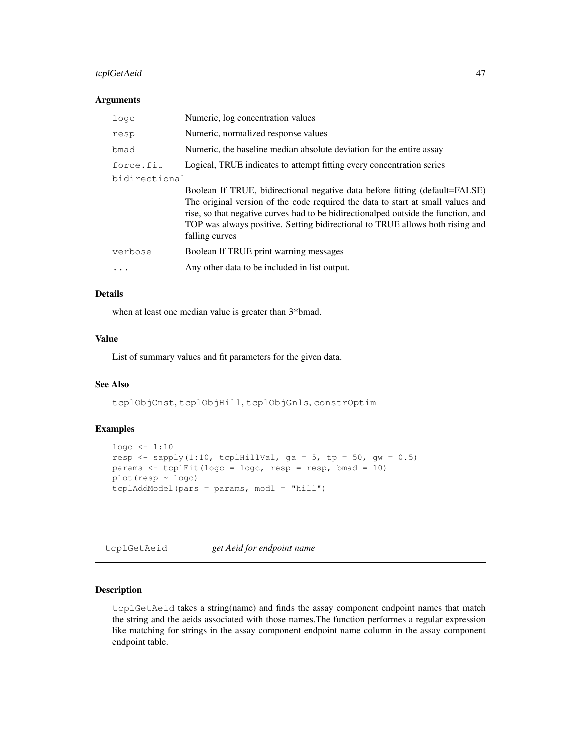### tcplGetAeid 47

#### **Arguments**

| logc          | Numeric, log concentration values                                                                                                                                                                                                                                                                                                                        |
|---------------|----------------------------------------------------------------------------------------------------------------------------------------------------------------------------------------------------------------------------------------------------------------------------------------------------------------------------------------------------------|
| resp          | Numeric, normalized response values                                                                                                                                                                                                                                                                                                                      |
| bmad          | Numeric, the baseline median absolute deviation for the entire assay                                                                                                                                                                                                                                                                                     |
| force.fit     | Logical, TRUE indicates to attempt fitting every concentration series                                                                                                                                                                                                                                                                                    |
| bidirectional |                                                                                                                                                                                                                                                                                                                                                          |
|               | Boolean If TRUE, bidirectional negative data before fitting (default=FALSE)<br>The original version of the code required the data to start at small values and<br>rise, so that negative curves had to be bidirectional ped outside the function, and<br>TOP was always positive. Setting bidirectional to TRUE allows both rising and<br>falling curves |
| verbose       | Boolean If TRUE print warning messages                                                                                                                                                                                                                                                                                                                   |
|               | Any other data to be included in list output.                                                                                                                                                                                                                                                                                                            |
|               |                                                                                                                                                                                                                                                                                                                                                          |

### Details

when at least one median value is greater than 3\*bmad.

### Value

List of summary values and fit parameters for the given data.

### See Also

tcplObjCnst, tcplObjHill, tcplObjGnls, constrOptim

### Examples

```
logc \leftarrow 1:10resp \leftarrow sapply(1:10, tcplHillVal, ga = 5, tp = 50, gw = 0.5)
params \le tcplFit(logc = logc, resp = resp, bmad = 10)
plot(resp ~ logc)
tcp1AddModel(pars =params, mod1 = "hill")
```
tcplGetAeid *get Aeid for endpoint name*

### Description

tcplGetAeid takes a string(name) and finds the assay component endpoint names that match the string and the aeids associated with those names.The function performes a regular expression like matching for strings in the assay component endpoint name column in the assay component endpoint table.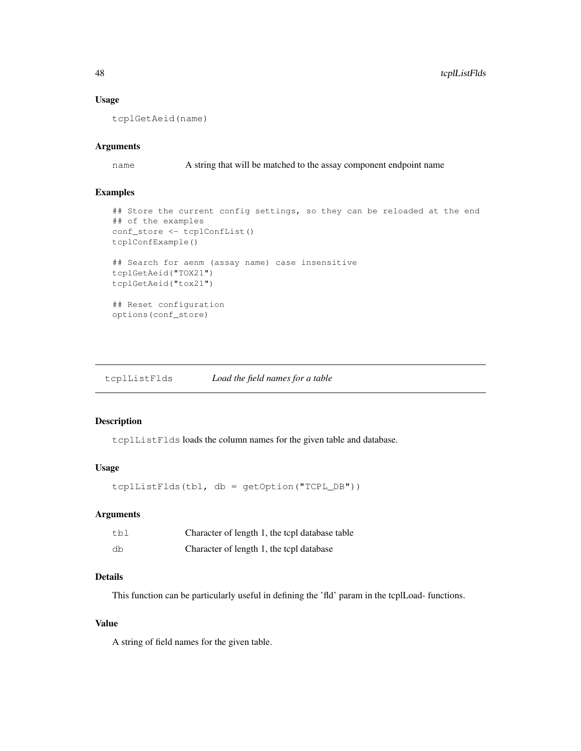### Usage

tcplGetAeid(name)

### Arguments

name A string that will be matched to the assay component endpoint name

### Examples

```
## Store the current config settings, so they can be reloaded at the end
## of the examples
conf_store <- tcplConfList()
tcplConfExample()
## Search for aenm (assay name) case insensitive
tcplGetAeid("TOX21")
tcplGetAeid("tox21")
## Reset configuration
options(conf_store)
```
tcplListFlds *Load the field names for a table*

### Description

tcplListFlds loads the column names for the given table and database.

### Usage

tcplListFlds(tbl, db = getOption("TCPL\_DB"))

### Arguments

| tbl | Character of length 1, the tcpl database table |
|-----|------------------------------------------------|
| db  | Character of length 1, the tcpl database       |

### Details

This function can be particularly useful in defining the 'fld' param in the tcplLoad- functions.

#### Value

A string of field names for the given table.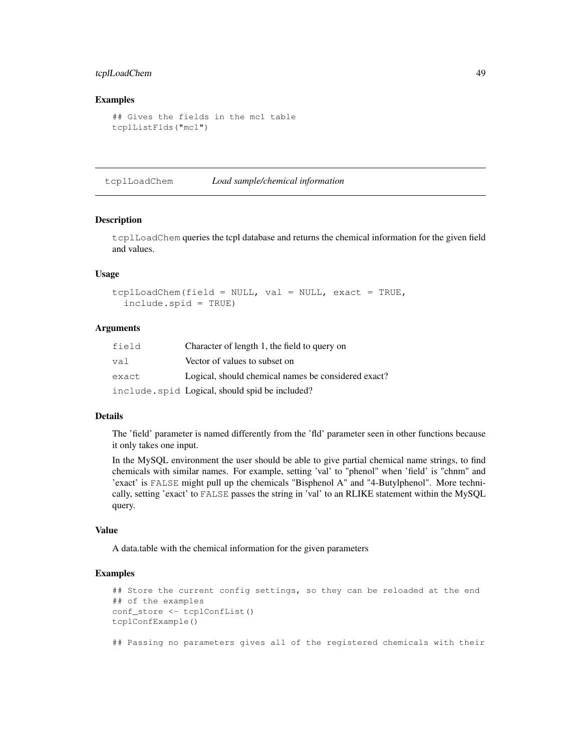### tcplLoadChem 49

#### Examples

```
## Gives the fields in the mc1 table
tcplListFlds("mc1")
```
tcplLoadChem *Load sample/chemical information*

#### Description

tcplLoadChem queries the tcpl database and returns the chemical information for the given field and values.

### Usage

```
tcplLoadChem(field = NULL, val = NULL, exact = TRUE,
 include.spid = TRUE)
```
### Arguments

| field | Character of length 1, the field to query on        |
|-------|-----------------------------------------------------|
| val   | Vector of values to subset on                       |
| exact | Logical, should chemical names be considered exact? |
|       | include.spid Logical, should spid be included?      |

#### Details

The 'field' parameter is named differently from the 'fld' parameter seen in other functions because it only takes one input.

In the MySQL environment the user should be able to give partial chemical name strings, to find chemicals with similar names. For example, setting 'val' to "phenol" when 'field' is "chnm" and 'exact' is FALSE might pull up the chemicals "Bisphenol A" and "4-Butylphenol". More technically, setting 'exact' to FALSE passes the string in 'val' to an RLIKE statement within the MySQL query.

#### Value

A data.table with the chemical information for the given parameters

#### Examples

```
## Store the current config settings, so they can be reloaded at the end
## of the examples
conf_store <- tcplConfList()
tcplConfExample()
## Passing no parameters gives all of the registered chemicals with their
```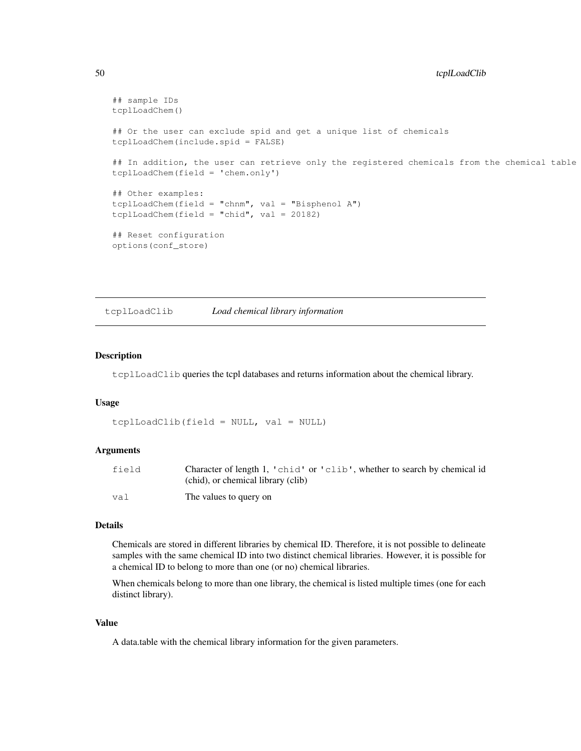```
## sample IDs
tcplLoadChem()
## Or the user can exclude spid and get a unique list of chemicals
tcplLoadChem(include.spid = FALSE)
## In addition, the user can retrieve only the registered chemicals from the chemical table
tcplLoadChem(field = 'chem.only')
## Other examples:
tcplLoadChem(field = "chnm", val = "Bisphenol A")
tcplLoadChem(field = "chid", val = 20182)
## Reset configuration
options(conf_store)
```
tcplLoadClib *Load chemical library information*

#### **Description**

tcplLoadClib queries the tcpl databases and returns information about the chemical library.

#### Usage

```
tcplLoadClib(field = NULL, val = NULL)
```
#### Arguments

| field | Character of length 1, 'chid' or 'clib', whether to search by chemical id |
|-------|---------------------------------------------------------------------------|
|       | (chid), or chemical library (clib)                                        |
| va l  | The values to query on                                                    |

#### Details

Chemicals are stored in different libraries by chemical ID. Therefore, it is not possible to delineate samples with the same chemical ID into two distinct chemical libraries. However, it is possible for a chemical ID to belong to more than one (or no) chemical libraries.

When chemicals belong to more than one library, the chemical is listed multiple times (one for each distinct library).

#### Value

A data.table with the chemical library information for the given parameters.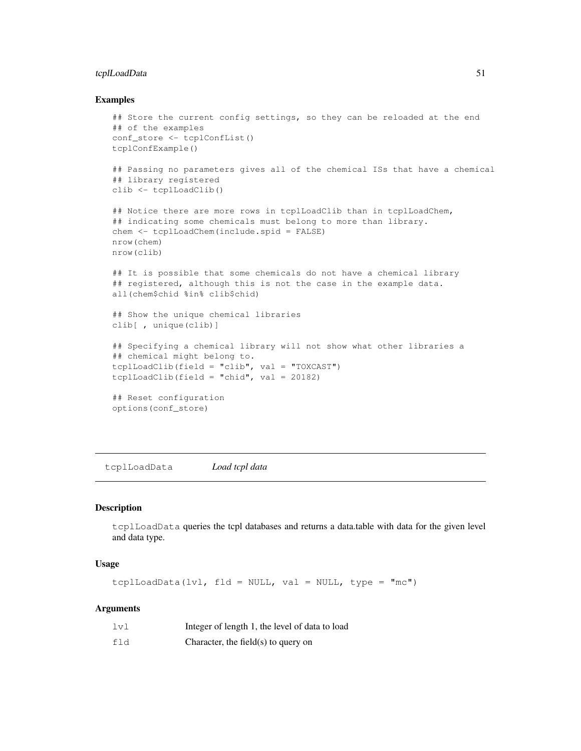### tcplLoadData 51

#### Examples

```
## Store the current config settings, so they can be reloaded at the end
## of the examples
conf_store <- tcplConfList()
tcplConfExample()
## Passing no parameters gives all of the chemical ISs that have a chemical
## library registered
clib <- tcplLoadClib()
## Notice there are more rows in tcplLoadClib than in tcplLoadChem,
## indicating some chemicals must belong to more than library.
chem <- tcplLoadChem(include.spid = FALSE)
nrow(chem)
nrow(clib)
## It is possible that some chemicals do not have a chemical library
## registered, although this is not the case in the example data.
all(chem$chid %in% clib$chid)
## Show the unique chemical libraries
clib[ , unique(clib)]
## Specifying a chemical library will not show what other libraries a
## chemical might belong to.
tcplLoadClib(field = "clib", val = "TOXCAST")
tcplLoadClib(field = "chid", val = 20182)
## Reset configuration
options(conf_store)
```
tcplLoadData *Load tcpl data*

### Description

tcplLoadData queries the tcpl databases and returns a data.table with data for the given level and data type.

#### Usage

```
tcplLoadData(lvl, fld = NULL, val = NULL, type = "mc")
```

| 1v1 | Integer of length 1, the level of data to load |
|-----|------------------------------------------------|
| fld | Character, the field $(s)$ to query on         |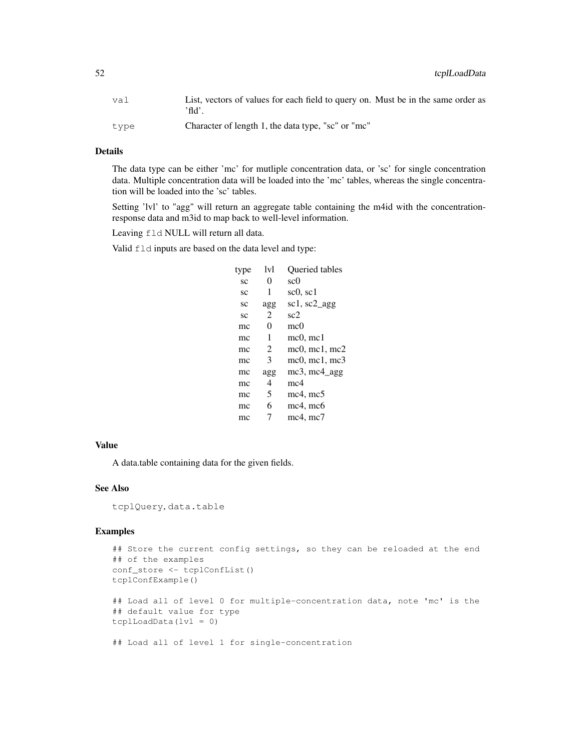| val  | List, vectors of values for each field to query on. Must be in the same order as<br>'fld'. |
|------|--------------------------------------------------------------------------------------------|
| tvpe | Character of length 1, the data type, "sc" or "mc"                                         |

### Details

The data type can be either 'mc' for mutliple concentration data, or 'sc' for single concentration data. Multiple concentration data will be loaded into the 'mc' tables, whereas the single concentration will be loaded into the 'sc' tables.

Setting 'lvl' to "agg" will return an aggregate table containing the m4id with the concentrationresponse data and m3id to map back to well-level information.

Leaving fld NULL will return all data.

Valid  $f \perp d$  inputs are based on the data level and type:

| 1v1 | <b>Oueried tables</b>             |
|-----|-----------------------------------|
| 0   | sc0                               |
| 1   | $\mathrm{sc}0, \mathrm{sc}1$      |
| agg | $\vert$ scl, sc2 agg              |
| 2   | sc2                               |
| 0   | mc0                               |
| 1   | $mc0$ , mc1                       |
| 2   | $mc0$ , mc1, mc2                  |
| 3   | $mc0$ , $mc1$ , $mc3$             |
| agg | $mc3$ , mc4 agg                   |
| 4   | mc4                               |
| 5   | $mc4$ , $mc5$                     |
| 6   | $mc4$ , mc $6$                    |
|     | mc <sub>4</sub> , mc <sub>7</sub> |
|     |                                   |

### Value

A data.table containing data for the given fields.

### See Also

tcplQuery, data.table

### Examples

```
## Store the current config settings, so they can be reloaded at the end
## of the examples
conf_store <- tcplConfList()
tcplConfExample()
## Load all of level 0 for multiple-concentration data, note 'mc' is the
## default value for type
tcplLoadData(lvl = 0)
## Load all of level 1 for single-concentration
```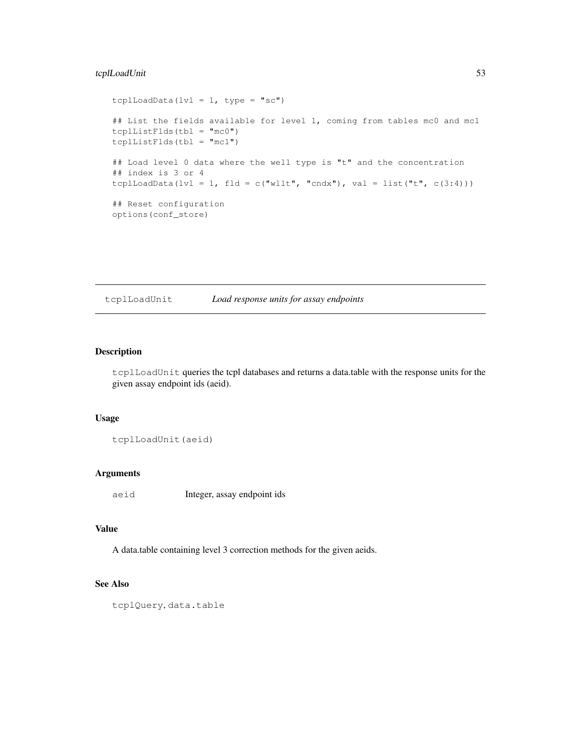### tcplLoadUnit 53

```
tcplLoadData(lvl = 1, type = "sc")
## List the fields available for level 1, coming from tables mc0 and mc1
tcplListFlds(tbl = "mc0")
tcplListFlds(tbl = "mc1")
## Load level 0 data where the well type is "t" and the concentration
## index is 3 or 4
tcplLoadData(lvl = 1, fld = c("wllt", "cndx"), val = list("t", c(3:4)))
## Reset configuration
options(conf_store)
```
tcplLoadUnit *Load response units for assay endpoints*

### Description

tcplLoadUnit queries the tcpl databases and returns a data.table with the response units for the given assay endpoint ids (aeid).

### Usage

tcplLoadUnit(aeid)

#### Arguments

aeid Integer, assay endpoint ids

### Value

A data.table containing level 3 correction methods for the given aeids.

## See Also

tcplQuery, data.table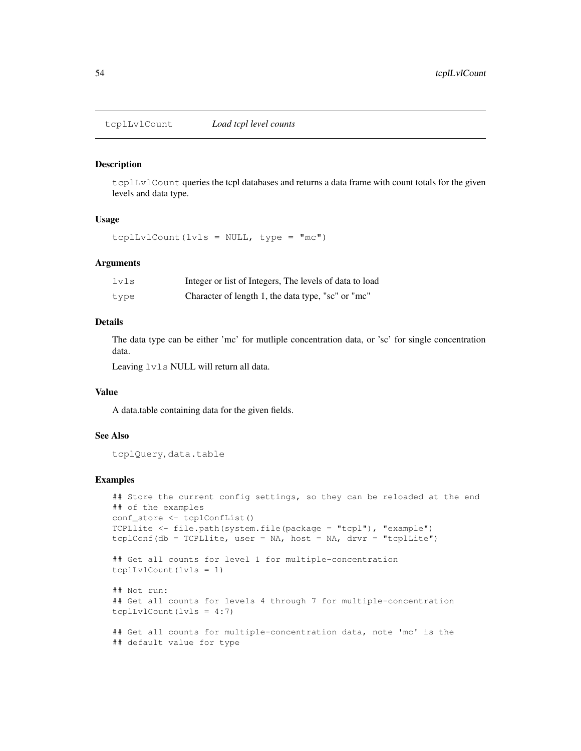#### Description

tcplLvlCount queries the tcpl databases and returns a data frame with count totals for the given levels and data type.

#### Usage

tcplLvlCount(lvls = NULL, type = "mc")

#### Arguments

| lvls | Integer or list of Integers, The levels of data to load |
|------|---------------------------------------------------------|
| type | Character of length 1, the data type, "sc" or "mc"      |

#### Details

The data type can be either 'mc' for mutliple concentration data, or 'sc' for single concentration data.

Leaving lvls NULL will return all data.

#### Value

A data.table containing data for the given fields.

#### See Also

tcplQuery, data.table

### Examples

```
## Store the current config settings, so they can be reloaded at the end
## of the examples
conf_store <- tcplConfList()
TCPLlite <- file.path(system.file(package = "tcpl"), "example")
tcplConf(db = TCPLlite, user = NA, host = NA, drvr = "tcplLite")
## Get all counts for level 1 for multiple-concentration
tcplLvlCount(lvls = 1)
## Not run:
## Get all counts for levels 4 through 7 for multiple-concentration
tcplLvlCount(lvls = 4:7)
## Get all counts for multiple-concentration data, note 'mc' is the
## default value for type
```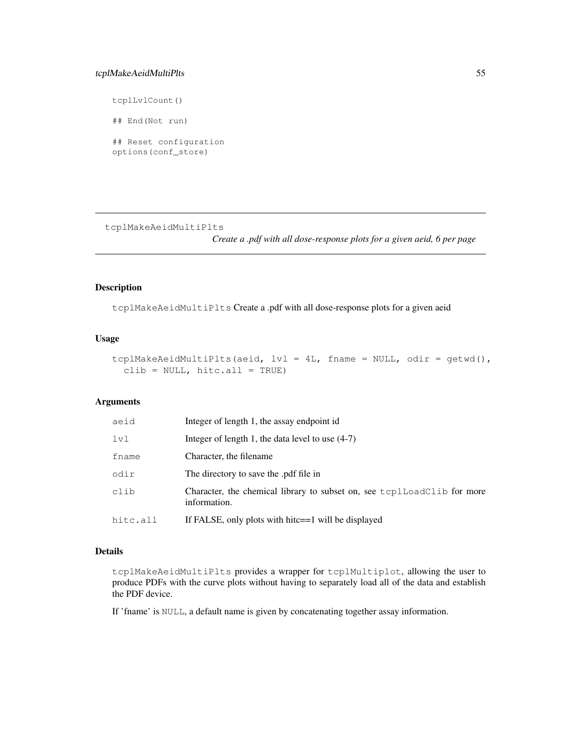### tcplMakeAeidMultiPlts 55

tcplLvlCount()

## End(Not run)

## Reset configuration options(conf\_store)

tcplMakeAeidMultiPlts

*Create a .pdf with all dose-response plots for a given aeid, 6 per page*

### Description

tcplMakeAeidMultiPlts Create a .pdf with all dose-response plots for a given aeid

### Usage

```
tcplMakeAeidMultiPlts(aeid, lvl = 4L, fname = NULL, odir = getwd(),
 clib = NULL, hitc.al1 = TRUE)
```
### Arguments

| aeid     | Integer of length 1, the assay endpoint id                                              |
|----------|-----------------------------------------------------------------------------------------|
| 1v1      | Integer of length 1, the data level to use $(4-7)$                                      |
| fname    | Character, the filename                                                                 |
| odir     | The directory to save the .pdf file in                                                  |
| clib     | Character, the chemical library to subset on, see toplloadClib for more<br>information. |
| hitc.all | If FALSE, only plots with hitc==1 will be displayed                                     |

### Details

tcplMakeAeidMultiPlts provides a wrapper for tcplMultiplot, allowing the user to produce PDFs with the curve plots without having to separately load all of the data and establish the PDF device.

If 'fname' is NULL, a default name is given by concatenating together assay information.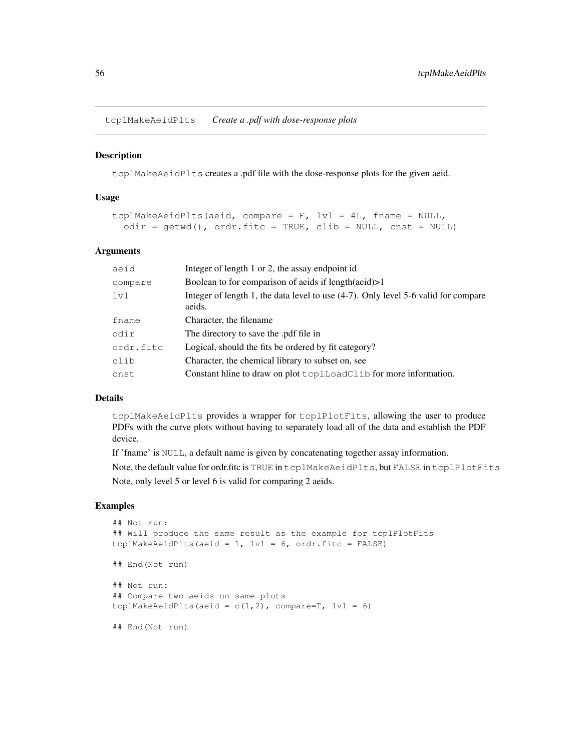tcplMakeAeidPlts *Create a .pdf with dose-response plots*

### Description

tcplMakeAeidPlts creates a .pdf file with the dose-response plots for the given aeid.

#### Usage

```
tcplMakeAeidPlts(aeid, compare = F, 1v1 = 4L, fname = NULL,
  odir = getwd(), ordr.fitc = TRUE, clib = NULL, cnst = NULL)
```
### Arguments

| aeid      | Integer of length 1 or 2, the assay endpoint id                                              |
|-----------|----------------------------------------------------------------------------------------------|
| compare   | Boolean to for comparison of aeids if $length(aeid) > 1$                                     |
| 1v1       | Integer of length 1, the data level to use (4-7). Only level 5-6 valid for compare<br>aeids. |
| fname     | Character, the filename.                                                                     |
| odir      | The directory to save the .pdf file in                                                       |
| ordr.fitc | Logical, should the fits be ordered by fit category?                                         |
| clib      | Character, the chemical library to subset on, see                                            |
| cnst      | Constant hime to draw on plot text LoadClib for more information.                            |

#### Details

tcplMakeAeidPlts provides a wrapper for tcplPlotFits, allowing the user to produce PDFs with the curve plots without having to separately load all of the data and establish the PDF device.

If 'fname' is NULL, a default name is given by concatenating together assay information.

Note, the default value for ordr.fitc is TRUE in tcplMakeAeidPlts, but FALSE in tcplPlotFits Note, only level 5 or level 6 is valid for comparing 2 aeids.

### Examples

```
## Not run:
## Will produce the same result as the example for tcplPlotFits
tcplMakeAeidPlts(aeid = 1, |V1| = 6, ordr.fitc = FALSE)
## End(Not run)
## Not run:
## Compare two aeids on same plots
tcplMakeAeidPlts(aeid = c(1,2), compare=T, lvl = 6)
## End(Not run)
```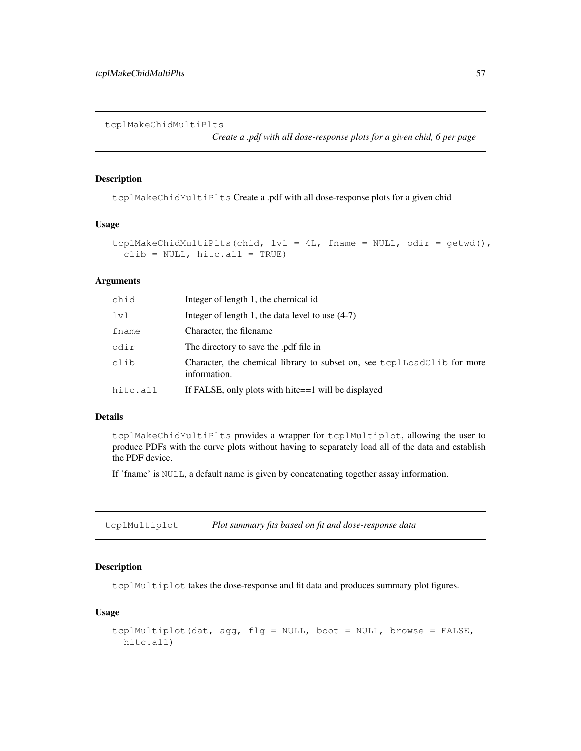tcplMakeChidMultiPlts

*Create a .pdf with all dose-response plots for a given chid, 6 per page*

### Description

tcplMakeChidMultiPlts Create a .pdf with all dose-response plots for a given chid

#### Usage

```
tcplMakeChidMultiPlts(chid, lvl = 4L, fname = NULL, odir = getwd(),
  clib = NULL, hitc.al1 = TRUE)
```
### Arguments

| chid     | Integer of length 1, the chemical id                                                    |
|----------|-----------------------------------------------------------------------------------------|
| lvl      | Integer of length 1, the data level to use $(4-7)$                                      |
| fname    | Character, the filename                                                                 |
| odir     | The directory to save the .pdf file in                                                  |
| clib     | Character, the chemical library to subset on, see toplloadClib for more<br>information. |
| hitc.all | If FALSE, only plots with hitc==1 will be displayed                                     |

### Details

tcplMakeChidMultiPlts provides a wrapper for tcplMultiplot, allowing the user to produce PDFs with the curve plots without having to separately load all of the data and establish the PDF device.

If 'fname' is NULL, a default name is given by concatenating together assay information.

tcplMultiplot *Plot summary fits based on fit and dose-response data*

### Description

tcplMultiplot takes the dose-response and fit data and produces summary plot figures.

#### Usage

```
tcplMultiplot(dat, agg, flg = NULL, boot = NULL, browse = FALSE,
 hitc.all)
```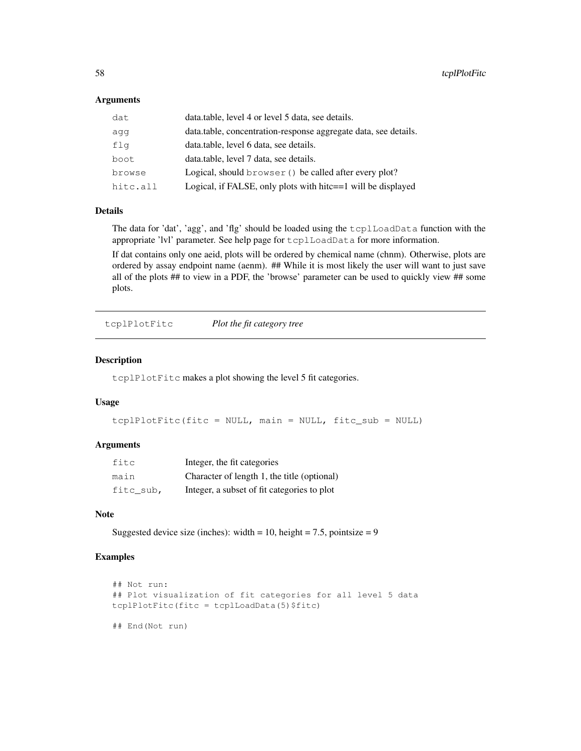### **Arguments**

| dat      | data.table, level 4 or level 5 data, see details.               |
|----------|-----------------------------------------------------------------|
| aqq      | data.table, concentration-response aggregate data, see details. |
| flg      | data.table, level 6 data, see details.                          |
| boot     | data.table, level 7 data, see details.                          |
| browse   | Logical, should browser () be called after every plot?          |
| hitc.all | Logical, if FALSE, only plots with hitc==1 will be displayed    |

### Details

The data for 'dat', 'agg', and 'flg' should be loaded using the tcplLoadData function with the appropriate 'lvl' parameter. See help page for tcplLoadData for more information.

If dat contains only one aeid, plots will be ordered by chemical name (chnm). Otherwise, plots are ordered by assay endpoint name (aenm). ## While it is most likely the user will want to just save all of the plots ## to view in a PDF, the 'browse' parameter can be used to quickly view ## some plots.

tcplPlotFitc *Plot the fit category tree*

#### Description

tcplPlotFitc makes a plot showing the level 5 fit categories.

### Usage

```
tcplPlotFitc(fitc = NULL, main = NULL, fitc_sub = NULL)
```
#### Arguments

| fitc      | Integer, the fit categories                 |
|-----------|---------------------------------------------|
| main      | Character of length 1, the title (optional) |
| fitc sub, | Integer, a subset of fit categories to plot |

#### Note

Suggested device size (inches): width = 10, height = 7.5, pointsize = 9

### Examples

```
## Not run:
## Plot visualization of fit categories for all level 5 data
tcplPlotFitc(fitc = tcplLoadData(5)$fitc)
## End(Not run)
```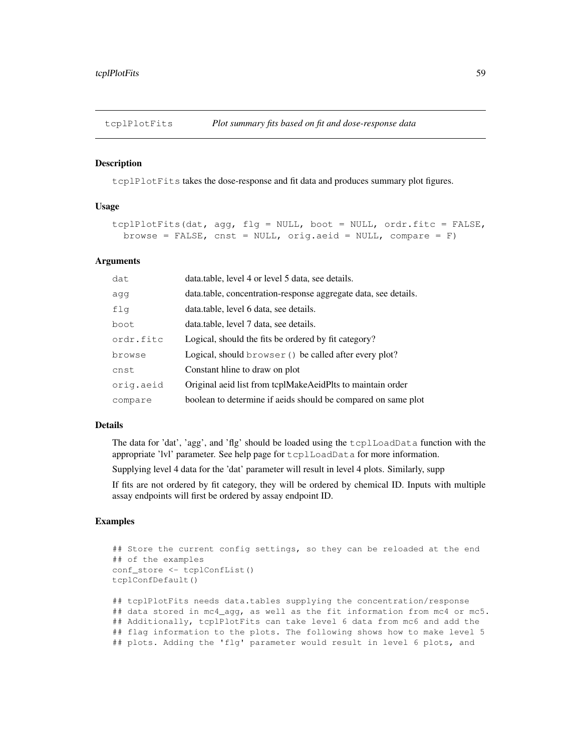#### Description

tcplPlotFits takes the dose-response and fit data and produces summary plot figures.

### Usage

```
tcplPlotFits(dat, agg, flg = NULL, boot = NULL, ordr.fitc = FALSE,
 browse = FALSE, cnst = NULL, orig.aeid = NULL, compare = F)
```
### Arguments

| dat       | data.table, level 4 or level 5 data, see details.               |
|-----------|-----------------------------------------------------------------|
| agg       | data.table, concentration-response aggregate data, see details. |
| flg       | data.table, level 6 data, see details.                          |
| boot      | data.table, level 7 data, see details.                          |
| ordr.fitc | Logical, should the fits be ordered by fit category?            |
| browse    | Logical, should browser () be called after every plot?          |
| cnst      | Constant hime to draw on plot                                   |
| orig.aeid | Original aeid list from tcplMakeAeidPlts to maintain order      |
| compare   | boolean to determine if aeids should be compared on same plot   |

#### Details

The data for 'dat', 'agg', and 'flg' should be loaded using the tcplLoadData function with the appropriate 'lvl' parameter. See help page for tcplLoadData for more information.

Supplying level 4 data for the 'dat' parameter will result in level 4 plots. Similarly, supp

If fits are not ordered by fit category, they will be ordered by chemical ID. Inputs with multiple assay endpoints will first be ordered by assay endpoint ID.

### Examples

```
## Store the current config settings, so they can be reloaded at the end
## of the examples
conf_store <- tcplConfList()
tcplConfDefault()
## tcplPlotFits needs data.tables supplying the concentration/response
## data stored in mc4_agg, as well as the fit information from mc4 or mc5.
## Additionally, tcplPlotFits can take level 6 data from mc6 and add the
## flag information to the plots. The following shows how to make level 5
## plots. Adding the 'flg' parameter would result in level 6 plots, and
```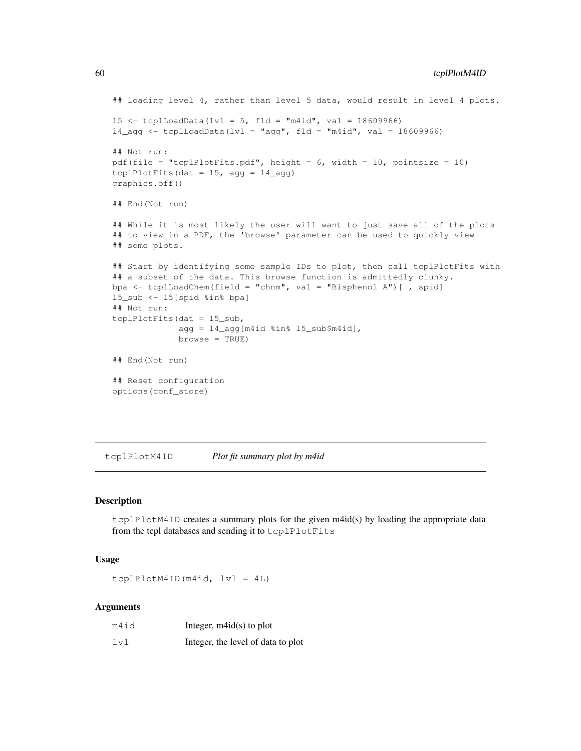```
## loading level 4, rather than level 5 data, would result in level 4 plots.
15 <- tcplLoadData(lvl = 5, fld = "m4id", val = 18609966)
14<sub>eqq</sub> <- tcplLoadData(lvl = "aqq", fld = "m4id", val = 18609966)
## Not run:
pdf(file = "tcplPlotFits.pdf", height = 6, width = 10, pointsize = 10)
tcplPlotFits(dat = 15, agg = 14_agg)
graphics.off()
## End(Not run)
## While it is most likely the user will want to just save all of the plots
## to view in a PDF, the 'browse' parameter can be used to quickly view
## some plots.
## Start by identifying some sample IDs to plot, then call tcplPlotFits with
## a subset of the data. This browse function is admittedly clunky.
bpa <- tcplLoadChem(field = "chnm", val = "Bisphenol A")[ , spid]
l5_sub <- l5[spid %in% bpa]
## Not run:
tcplPlotFits(dat = l5_sub,
             agg = 14 \text{avg}[m4id %in% 15 \text{sub$$m4id],
             browse = TRUE)
## End(Not run)
## Reset configuration
options(conf_store)
```
tcplPlotM4ID *Plot fit summary plot by m4id*

#### Description

tcplPlotM4ID creates a summary plots for the given m4id(s) by loading the appropriate data from the tcpl databases and sending it to tcplPlotFits

#### Usage

tcplPlotM4ID(m4id, lvl = 4L)

| m4id | Integer, $m4id(s)$ to plot         |
|------|------------------------------------|
| 1v1  | Integer, the level of data to plot |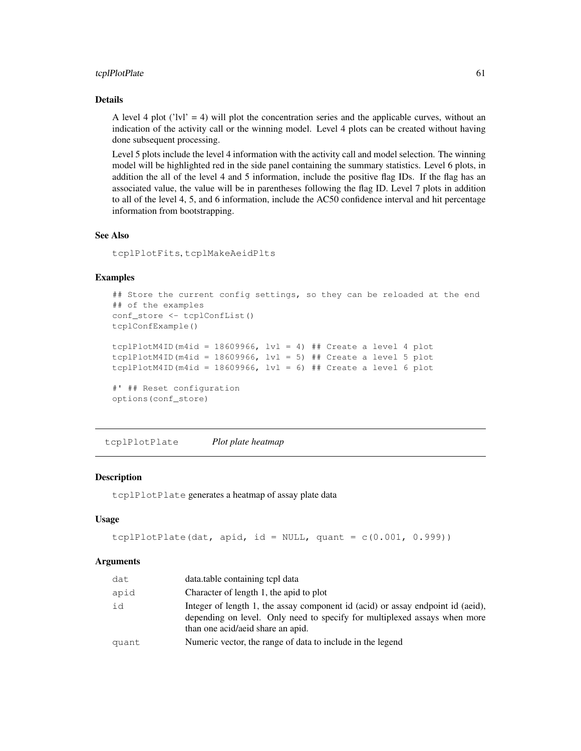#### tcplPlotPlate 61

### Details

A level 4 plot ('lvl' = 4) will plot the concentration series and the applicable curves, without an indication of the activity call or the winning model. Level 4 plots can be created without having done subsequent processing.

Level 5 plots include the level 4 information with the activity call and model selection. The winning model will be highlighted red in the side panel containing the summary statistics. Level 6 plots, in addition the all of the level 4 and 5 information, include the positive flag IDs. If the flag has an associated value, the value will be in parentheses following the flag ID. Level 7 plots in addition to all of the level 4, 5, and 6 information, include the AC50 confidence interval and hit percentage information from bootstrapping.

#### See Also

tcplPlotFits, tcplMakeAeidPlts

### Examples

```
## Store the current config settings, so they can be reloaded at the end
## of the examples
conf store <- tcplConfList()
tcplConfExample()
tcplPlotM4ID(m4id = 18609966, lvl = 4) ## Create a level 4 plot
tcplPlotM4ID(m4id = 18609966, lvl = 5) ## Create a level 5 plot
tcplPlotM4ID(m4id = 18609966, 1v1 = 6) ## Create a level 6 plot
#' ## Reset configuration
options(conf_store)
```
tcplPlotPlate *Plot plate heatmap*

#### Description

tcplPlotPlate generates a heatmap of assay plate data

#### Usage

```
tcplPlotPlate(dat, apid, id = NULL, quant = c(0.001, 0.999))
```

| dat   | data.table containing tcpl data                                                                                                                                                                   |
|-------|---------------------------------------------------------------------------------------------------------------------------------------------------------------------------------------------------|
| apid  | Character of length 1, the apid to plot                                                                                                                                                           |
| id    | Integer of length 1, the assay component id (acid) or assay endpoint id (aeid),<br>depending on level. Only need to specify for multiplexed assays when more<br>than one acid/aeid share an apid. |
| quant | Numeric vector, the range of data to include in the legend                                                                                                                                        |
|       |                                                                                                                                                                                                   |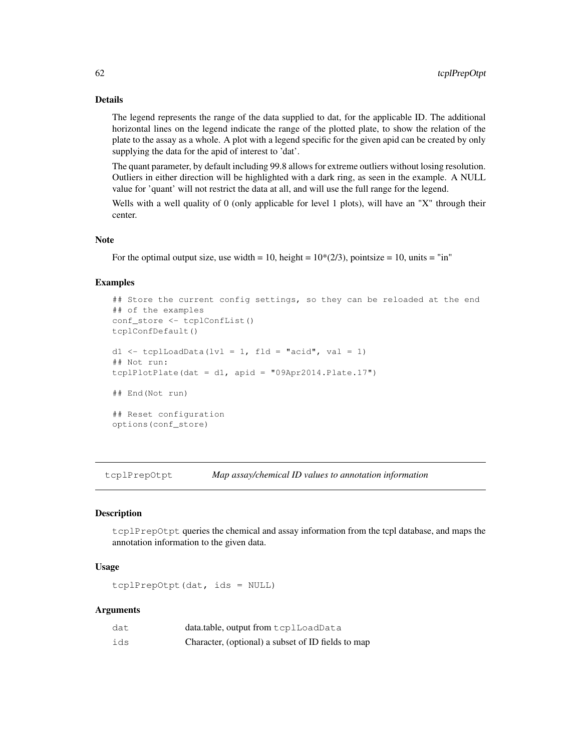### Details

The legend represents the range of the data supplied to dat, for the applicable ID. The additional horizontal lines on the legend indicate the range of the plotted plate, to show the relation of the plate to the assay as a whole. A plot with a legend specific for the given apid can be created by only supplying the data for the apid of interest to 'dat'.

The quant parameter, by default including 99.8 allows for extreme outliers without losing resolution. Outliers in either direction will be highlighted with a dark ring, as seen in the example. A NULL value for 'quant' will not restrict the data at all, and will use the full range for the legend.

Wells with a well quality of 0 (only applicable for level 1 plots), will have an "X" through their center.

#### Note

For the optimal output size, use width = 10, height =  $10*(2/3)$ , pointsize = 10, units = "in"

#### Examples

```
## Store the current config settings, so they can be reloaded at the end
## of the examples
conf store <- tcplConfList()
tcplConfDefault()
d1 <- tcplLoadData(lvl = 1, fld = "acid", val = 1)
## Not run:
tcplPlotPlate(dat = d1, apid = "09Apr2014.Plate.17")## End(Not run)
## Reset configuration
options(conf_store)
```
tcplPrepOtpt *Map assay/chemical ID values to annotation information*

#### **Description**

tcplPrepOtpt queries the chemical and assay information from the tcpl database, and maps the annotation information to the given data.

### Usage

```
tcplPrepOtpt(dat, ids = NULL)
```

| dat | data.table, output from tcplLoadData               |
|-----|----------------------------------------------------|
| ids | Character, (optional) a subset of ID fields to map |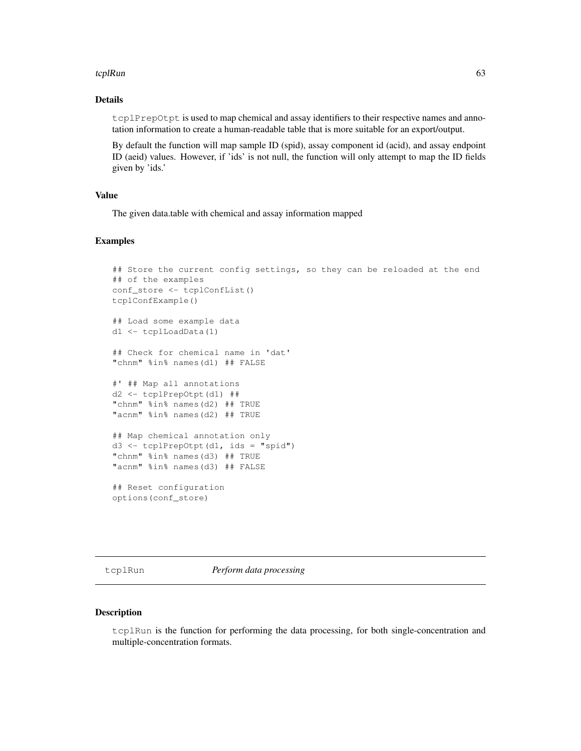#### tcplRun 63

### Details

tcplPrepOtpt is used to map chemical and assay identifiers to their respective names and annotation information to create a human-readable table that is more suitable for an export/output.

By default the function will map sample ID (spid), assay component id (acid), and assay endpoint ID (aeid) values. However, if 'ids' is not null, the function will only attempt to map the ID fields given by 'ids.'

#### Value

The given data.table with chemical and assay information mapped

### Examples

```
## Store the current config settings, so they can be reloaded at the end
## of the examples
conf_store <- tcplConfList()
tcplConfExample()
## Load some example data
d1 <- tcplLoadData(1)
## Check for chemical name in 'dat'
"chnm" %in% names(d1) ## FALSE
#' ## Map all annotations
d2 <- tcplPrepOtpt(d1) ##
"chnm" %in% names(d2) ## TRUE
"acnm" %in% names(d2) ## TRUE
## Map chemical annotation only
d3 <- tcplPrepOtpt(d1, ids = "spid")
"chnm" %in% names(d3) ## TRUE
"acnm" %in% names(d3) ## FALSE
## Reset configuration
options(conf_store)
```
tcplRun *Perform data processing*

#### Description

tcplRun is the function for performing the data processing, for both single-concentration and multiple-concentration formats.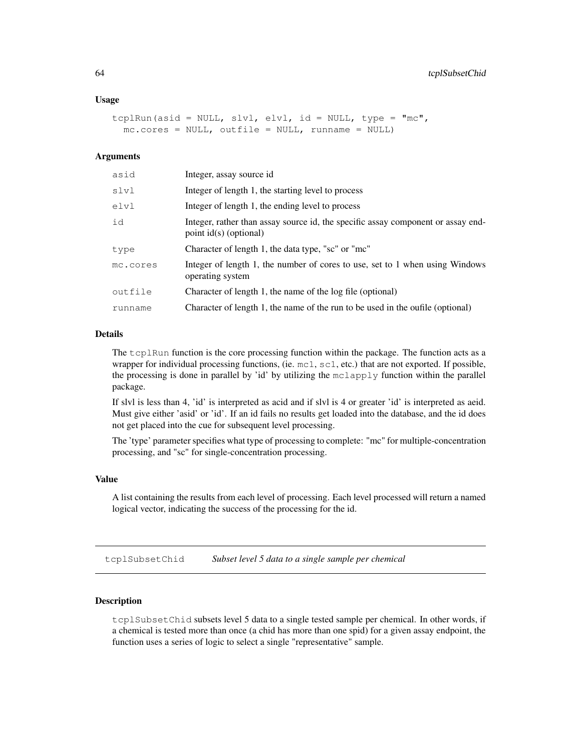#### Usage

```
tcplRun(asid = NULL, slvl, elvl, id = NULL, type = "mc",
 mc.core = NULL, outfile = NULL, runname = NULL)
```
### Arguments

| asid     | Integer, assay source id.                                                                                  |
|----------|------------------------------------------------------------------------------------------------------------|
| slvl     | Integer of length 1, the starting level to process                                                         |
| elvl     | Integer of length 1, the ending level to process                                                           |
| id       | Integer, rather than assay source id, the specific assay component or assay end-<br>point id(s) (optional) |
| type     | Character of length 1, the data type, "sc" or "mc"                                                         |
| mc.cores | Integer of length 1, the number of cores to use, set to 1 when using Windows<br>operating system           |
| outfile  | Character of length 1, the name of the log file (optional)                                                 |
| runname  | Character of length 1, the name of the run to be used in the oufile (optional)                             |

### Details

The tcplRun function is the core processing function within the package. The function acts as a wrapper for individual processing functions, (ie. mc1, sc1, etc.) that are not exported. If possible, the processing is done in parallel by 'id' by utilizing the mclapply function within the parallel package.

If slvl is less than 4, 'id' is interpreted as acid and if slvl is 4 or greater 'id' is interpreted as aeid. Must give either 'asid' or 'id'. If an id fails no results get loaded into the database, and the id does not get placed into the cue for subsequent level processing.

The 'type' parameter specifies what type of processing to complete: "mc" for multiple-concentration processing, and "sc" for single-concentration processing.

### Value

A list containing the results from each level of processing. Each level processed will return a named logical vector, indicating the success of the processing for the id.

tcplSubsetChid *Subset level 5 data to a single sample per chemical*

#### **Description**

tcplSubsetChid subsets level 5 data to a single tested sample per chemical. In other words, if a chemical is tested more than once (a chid has more than one spid) for a given assay endpoint, the function uses a series of logic to select a single "representative" sample.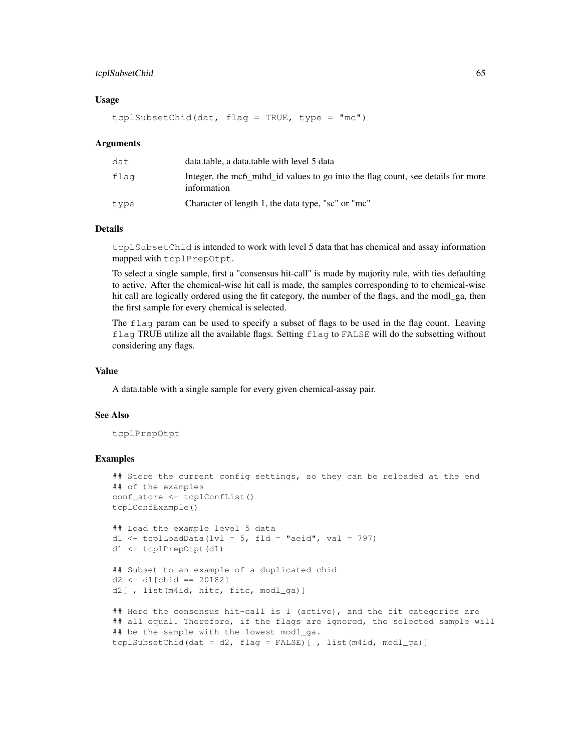#### tcplSubsetChid 65

### Usage

```
tcplSubsetChid(dat, flag = TRUE, type = "mc")
```
#### Arguments

| dat  | data.table, a data.table with level 5 data                                                     |
|------|------------------------------------------------------------------------------------------------|
| flaq | Integer, the mc6 mthd id values to go into the flag count, see details for more<br>information |
| type | Character of length 1, the data type, "sc" or "mc"                                             |

### Details

tcplSubsetChid is intended to work with level 5 data that has chemical and assay information mapped with tcplPrepOtpt.

To select a single sample, first a "consensus hit-call" is made by majority rule, with ties defaulting to active. After the chemical-wise hit call is made, the samples corresponding to to chemical-wise hit call are logically ordered using the fit category, the number of the flags, and the modl\_ga, then the first sample for every chemical is selected.

The flag param can be used to specify a subset of flags to be used in the flag count. Leaving flag TRUE utilize all the available flags. Setting flag to FALSE will do the subsetting without considering any flags.

### Value

A data.table with a single sample for every given chemical-assay pair.

#### See Also

tcplPrepOtpt

### Examples

```
## Store the current config settings, so they can be reloaded at the end
## of the examples
conf_store <- tcplConfList()
tcplConfExample()
## Load the example level 5 data
d1 <- tcplLoadData(lvl = 5, fld = "aeid", val = 797)
d1 <- tcplPrepOtpt(d1)
```

```
## Subset to an example of a duplicated chid
d2 \le -d1[chid == 20182]
d2[ , list(m4id, hitc, fitc, modl_ga)]
```

```
## Here the consensus hit-call is 1 (active), and the fit categories are
## all equal. Therefore, if the flags are ignored, the selected sample will
## be the sample with the lowest modl_ga.
tcplSubsetChid(dat = d2, flag = FALSE)[ , list(m4id, modl_ga)]
```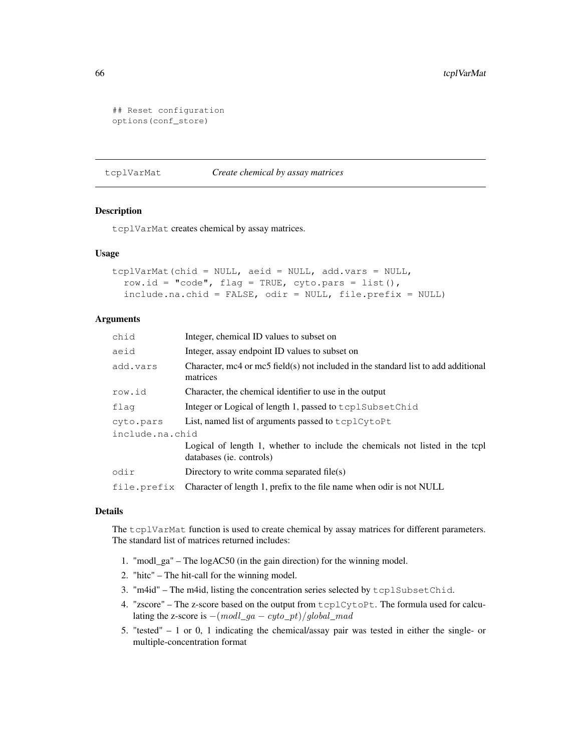```
## Reset configuration
options(conf_store)
```
#### tcplVarMat *Create chemical by assay matrices*

### Description

tcplVarMat creates chemical by assay matrices.

### Usage

```
tcplVarMat(chid = NULL, aeid = NULL, add.vars = NULL,
  row.id = "code", flag = TRUE, cyto.pars = list(),
  include.na.chid = FALSE, odir = NULL, file.prefix = NULL)
```
### Arguments

| chid            | Integer, chemical ID values to subset on                                                                 |  |  |
|-----------------|----------------------------------------------------------------------------------------------------------|--|--|
| aeid            | Integer, assay endpoint ID values to subset on                                                           |  |  |
| add.vars        | Character, mc4 or mc5 field(s) not included in the standard list to add additional<br>matrices           |  |  |
| row.id          | Character, the chemical identifier to use in the output                                                  |  |  |
| flag            | Integer or Logical of length 1, passed to tcplSubsetChid                                                 |  |  |
| cyto.pars       | List, named list of arguments passed to tcplCytoPt                                                       |  |  |
| include.na.chid |                                                                                                          |  |  |
|                 | Logical of length 1, whether to include the chemicals not listed in the tcpl<br>databases (ie. controls) |  |  |
| odir            | Directory to write comma separated file(s)                                                               |  |  |
| file.prefix     | Character of length 1, prefix to the file name when odir is not NULL                                     |  |  |

### Details

The tcplVarMat function is used to create chemical by assay matrices for different parameters. The standard list of matrices returned includes:

- 1. "modl\_ga" The logAC50 (in the gain direction) for the winning model.
- 2. "hitc" The hit-call for the winning model.
- 3. "m4id" The m4id, listing the concentration series selected by tcplSubsetChid.
- 4. "zscore" The z-score based on the output from tcplCytoPt. The formula used for calculating the z-score is  $-(\text{mod}l\_ga - \text{cyto\_pt})/global\_mad$
- 5. "tested" 1 or 0, 1 indicating the chemical/assay pair was tested in either the single- or multiple-concentration format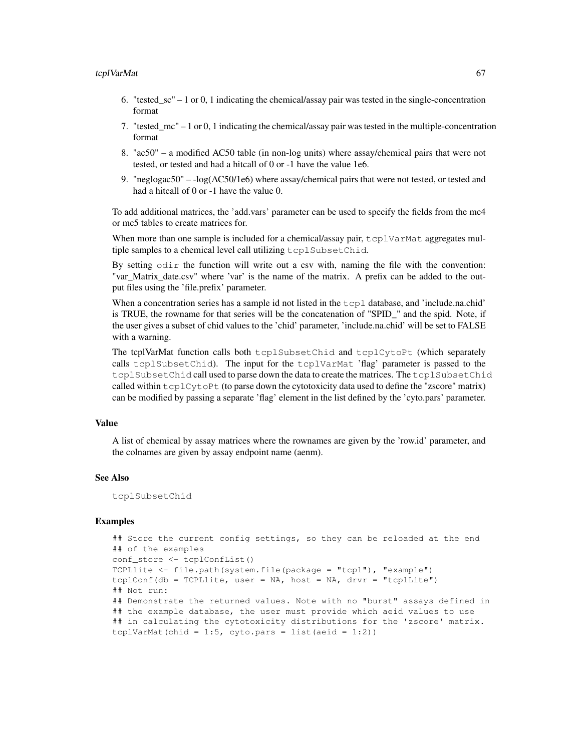- 6. "tested\_sc" 1 or 0, 1 indicating the chemical/assay pair was tested in the single-concentration format
- 7. "tested\_mc" 1 or 0, 1 indicating the chemical/assay pair was tested in the multiple-concentration format
- 8. "ac50" a modified AC50 table (in non-log units) where assay/chemical pairs that were not tested, or tested and had a hitcall of 0 or -1 have the value 1e6.
- 9. "neglogac50" -log(AC50/1e6) where assay/chemical pairs that were not tested, or tested and had a hitcall of 0 or -1 have the value 0.

To add additional matrices, the 'add.vars' parameter can be used to specify the fields from the mc4 or mc5 tables to create matrices for.

When more than one sample is included for a chemical/assay pair, tcplVarMat aggregates multiple samples to a chemical level call utilizing tcplSubsetChid.

By setting  $odir$  the function will write out a csv with, naming the file with the convention: "var\_Matrix\_date.csv" where 'var' is the name of the matrix. A prefix can be added to the output files using the 'file.prefix' parameter.

When a concentration series has a sample id not listed in the  $t$ cpl database, and 'include.na.chid' is TRUE, the rowname for that series will be the concatenation of "SPID\_" and the spid. Note, if the user gives a subset of chid values to the 'chid' parameter, 'include.na.chid' will be set to FALSE with a warning.

The tcplVarMat function calls both tcplSubsetChid and tcplCytoPt (which separately calls tcplSubsetChid). The input for the tcplVarMat 'flag' parameter is passed to the tcplSubsetChid call used to parse down the data to create the matrices. The tcplSubsetChid called within  $t$ cplCy $t$ oPt (to parse down the cytotoxicity data used to define the "zscore" matrix) can be modified by passing a separate 'flag' element in the list defined by the 'cyto.pars' parameter.

#### Value

A list of chemical by assay matrices where the rownames are given by the 'row.id' parameter, and the colnames are given by assay endpoint name (aenm).

#### See Also

tcplSubsetChid

### Examples

```
## Store the current config settings, so they can be reloaded at the end
## of the examples
conf_store <- tcplConfList()
TCPLlite <- file.path(system.file(package = "tcpl"), "example")
tcplConf(db = TCPLlite, user = NA, host = NA, drvr = "tcplLite")
## Not run:
## Demonstrate the returned values. Note with no "burst" assays defined in
## the example database, the user must provide which aeid values to use
## in calculating the cytotoxicity distributions for the 'zscore' matrix.
tcplVarMat(chid = 1:5, cyto.pars = list(aeid = 1:2))
```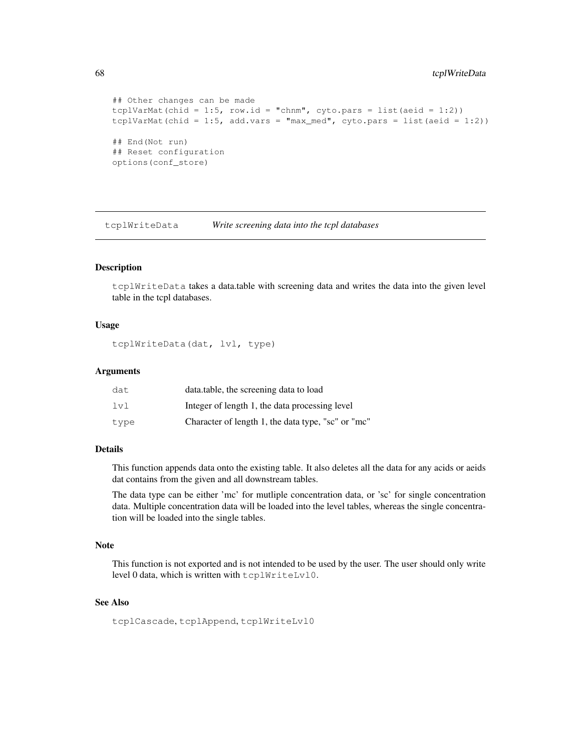```
## Other changes can be made
tcplVarMat(chid = 1:5, row.id = "chnm", cyto.pars = list(aeid = 1:2))
tcplVarMat(chid = 1:5, add.vars = "max_med", cyto.pars = list(aeid = 1:2))
## End(Not run)
## Reset configuration
options(conf_store)
```
tcplWriteData *Write screening data into the tcpl databases*

#### Description

tcplWriteData takes a data.table with screening data and writes the data into the given level table in the tcpl databases.

### Usage

tcplWriteData(dat, lvl, type)

### Arguments

| dat  | data.table, the screening data to load             |
|------|----------------------------------------------------|
| 1v1  | Integer of length 1, the data processing level     |
| type | Character of length 1, the data type, "sc" or "mc" |

### Details

This function appends data onto the existing table. It also deletes all the data for any acids or aeids dat contains from the given and all downstream tables.

The data type can be either 'mc' for mutliple concentration data, or 'sc' for single concentration data. Multiple concentration data will be loaded into the level tables, whereas the single concentration will be loaded into the single tables.

#### Note

This function is not exported and is not intended to be used by the user. The user should only write level 0 data, which is written with tcplWriteLvl0.

### See Also

tcplCascade, tcplAppend, tcplWriteLvl0